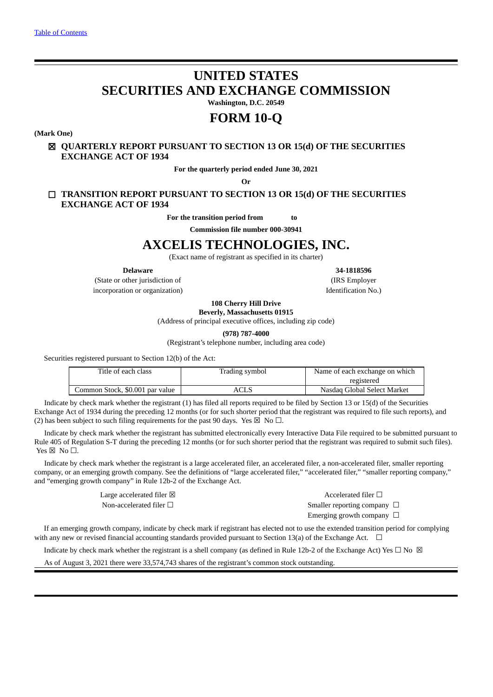# **UNITED STATES SECURITIES AND EXCHANGE COMMISSION**

**Washington, D.C. 20549**

# **FORM 10-Q**

**(Mark One)**

# ☒ **QUARTERLY REPORT PURSUANT TO SECTION 13 OR 15(d) OF THE SECURITIES EXCHANGE ACT OF 1934**

**For the quarterly period ended June 30, 2021**

**Or**

☐ **TRANSITION REPORT PURSUANT TO SECTION 13 OR 15(d) OF THE SECURITIES EXCHANGE ACT OF 1934**

**For the transition period from to**

**Commission file number 000-30941**

# **AXCELIS TECHNOLOGIES, INC.**

(Exact name of registrant as specified in its charter)

**Delaware 34-1818596**

(State or other jurisdiction of incorporation or organization) (IRS Employer

Identification No.)

**108 Cherry Hill Drive Beverly, Massachusetts 01915**

(Address of principal executive offices, including zip code)

**(978) 787-4000**

(Registrant's telephone number, including area code)

Securities registered pursuant to Section 12(b) of the Act:

| Title of each class             | Trading symbol | Name of each exchange on which |
|---------------------------------|----------------|--------------------------------|
|                                 |                | registered                     |
| Common Stock, \$0.001 par value | ACLS           | Nasdag Global Select Market    |

Indicate by check mark whether the registrant (1) has filed all reports required to be filed by Section 13 or 15(d) of the Securities Exchange Act of 1934 during the preceding 12 months (or for such shorter period that the registrant was required to file such reports), and (2) has been subject to such filing requirements for the past 90 days. Yes  $\boxtimes$  No  $\Box$ .

Indicate by check mark whether the registrant has submitted electronically every Interactive Data File required to be submitted pursuant to Rule 405 of Regulation S-T during the preceding 12 months (or for such shorter period that the registrant was required to submit such files). Yes  $\boxtimes$  No  $\square$ .

Indicate by check mark whether the registrant is a large accelerated filer, an accelerated filer, a non-accelerated filer, smaller reporting company, or an emerging growth company. See the definitions of "large accelerated filer," "accelerated filer," "smaller reporting company," and "emerging growth company" in Rule 12b-2 of the Exchange Act.

Large accelerated filer  $\boxtimes$  Accelerated filer  $\Box$ Non-accelerated filer □ <br>Smaller reporting company □ Emerging growth company  $\Box$ 

If an emerging growth company, indicate by check mark if registrant has elected not to use the extended transition period for complying with any new or revised financial accounting standards provided pursuant to Section 13(a) of the Exchange Act.  $\Box$ 

Indicate by check mark whether the registrant is a shell company (as defined in Rule 12b-2 of the Exchange Act) Yes  $\Box$  No  $\boxtimes$ 

As of August 3, 2021 there were 33,574,743 shares of the registrant's common stock outstanding.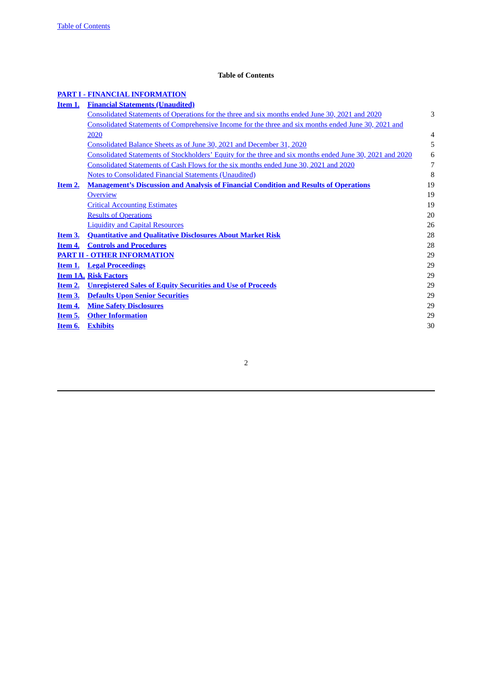# **Table of Contents**

# <span id="page-1-0"></span>**PART I - FINANCIAL [INFORMATION](#page-2-0)**

| <u>Item 1.</u> | <b>Financial Statements (Unaudited)</b>                                                                   |                |
|----------------|-----------------------------------------------------------------------------------------------------------|----------------|
|                | Consolidated Statements of Operations for the three and six months ended June 30, 2021 and 2020           | 3              |
|                | Consolidated Statements of Comprehensive Income for the three and six months ended June 30, 2021 and      |                |
|                | 2020                                                                                                      | $\overline{4}$ |
|                | Consolidated Balance Sheets as of June 30, 2021 and December 31, 2020                                     | 5              |
|                | Consolidated Statements of Stockholders' Equity for the three and six months ended June 30, 2021 and 2020 | 6              |
|                | Consolidated Statements of Cash Flows for the six months ended June 30, 2021 and 2020                     | 7              |
|                | <b>Notes to Consolidated Financial Statements (Unaudited)</b>                                             | 8              |
| Item 2.        | <b>Management's Discussion and Analysis of Financial Condition and Results of Operations</b>              | 19             |
|                | <b>Overview</b>                                                                                           | 19             |
|                | <b>Critical Accounting Estimates</b>                                                                      | 19             |
|                | <b>Results of Operations</b>                                                                              | 20             |
|                | <b>Liquidity and Capital Resources</b>                                                                    | 26             |
| Item 3.        | <b>Quantitative and Qualitative Disclosures About Market Risk</b>                                         | 28             |
| Item 4.        | <b>Controls and Procedures</b>                                                                            | 28             |
|                | <b>PART II - OTHER INFORMATION</b>                                                                        | 29             |
| Item 1.        | <u>Legal Proceedings</u>                                                                                  | 29             |
|                | <b>Item 1A. Risk Factors</b>                                                                              | 29             |
| Item 2.        | <b>Unregistered Sales of Equity Securities and Use of Proceeds</b>                                        | 29             |
| Item 3.        | <b>Defaults Upon Senior Securities</b>                                                                    | 29             |
| Item 4.        | <b>Mine Safety Disclosures</b>                                                                            | 29             |
| <u>Item 5.</u> | <b>Other Information</b>                                                                                  | 29             |
| Item 6.        | <b>Exhibits</b>                                                                                           | 30             |
|                |                                                                                                           |                |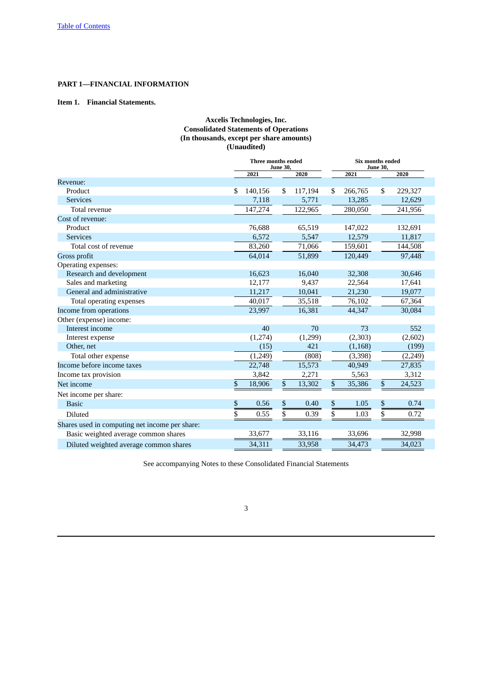# <span id="page-2-0"></span>**PART 1—FINANCIAL INFORMATION**

# <span id="page-2-2"></span><span id="page-2-1"></span>**Item 1. Financial Statements.**

# **Axcelis Technologies, Inc. Consolidated Statements of Operations (In thousands, except per share amounts) (Unaudited)**

|                                                | <b>Three months ended</b><br><b>June 30,</b> |         |                 |         | Six months ended<br><b>June 30,</b> |          |                 |          |  |
|------------------------------------------------|----------------------------------------------|---------|-----------------|---------|-------------------------------------|----------|-----------------|----------|--|
|                                                |                                              | 2021    |                 | 2020    |                                     | 2021     |                 | 2020     |  |
| Revenue:                                       |                                              |         |                 |         |                                     |          |                 |          |  |
| Product                                        | \$                                           | 140,156 | \$.             | 117,194 | \$                                  | 266,765  | \$              | 229,327  |  |
| <b>Services</b>                                |                                              | 7,118   |                 | 5,771   |                                     | 13,285   |                 | 12,629   |  |
| Total revenue                                  |                                              | 147,274 |                 | 122,965 |                                     | 280,050  |                 | 241,956  |  |
| Cost of revenue:                               |                                              |         |                 |         |                                     |          |                 |          |  |
| Product                                        |                                              | 76,688  |                 | 65,519  |                                     | 147,022  |                 | 132,691  |  |
| <b>Services</b>                                |                                              | 6,572   |                 | 5,547   |                                     | 12,579   |                 | 11,817   |  |
| Total cost of revenue                          |                                              | 83,260  |                 | 71,066  |                                     | 159,601  |                 | 144,508  |  |
| Gross profit                                   |                                              | 64,014  |                 | 51,899  |                                     | 120,449  |                 | 97,448   |  |
| Operating expenses:                            |                                              |         |                 |         |                                     |          |                 |          |  |
| Research and development                       |                                              | 16,623  |                 | 16,040  |                                     | 32,308   |                 | 30,646   |  |
| Sales and marketing                            |                                              | 12,177  |                 | 9,437   |                                     | 22,564   |                 | 17,641   |  |
| General and administrative                     |                                              | 11,217  |                 | 10,041  |                                     | 21,230   |                 | 19,077   |  |
| Total operating expenses                       |                                              | 40,017  |                 | 35,518  |                                     | 76,102   |                 | 67,364   |  |
| Income from operations                         |                                              | 23,997  |                 | 16,381  |                                     | 44,347   |                 | 30,084   |  |
| Other (expense) income:                        |                                              |         |                 |         |                                     |          |                 |          |  |
| Interest income                                |                                              | 40      |                 | 70      |                                     | 73       |                 | 552      |  |
| Interest expense                               |                                              | (1,274) |                 | (1,299) |                                     | (2, 303) |                 | (2,602)  |  |
| Other, net                                     |                                              | (15)    |                 | 421     |                                     | (1, 168) |                 | (199)    |  |
| Total other expense                            |                                              | (1,249) |                 | (808)   |                                     | (3, 398) |                 | (2, 249) |  |
| Income before income taxes                     |                                              | 22,748  |                 | 15,573  |                                     | 40,949   |                 | 27,835   |  |
| Income tax provision                           |                                              | 3,842   |                 | 2,271   |                                     | 5,563    |                 | 3,312    |  |
| Net income                                     | \$                                           | 18,906  | \$              | 13,302  | \$                                  | 35,386   | $\mathbb S$     | 24,523   |  |
| Net income per share:                          |                                              |         |                 |         |                                     |          |                 |          |  |
| <b>Basic</b>                                   | \$                                           | 0.56    | \$              | 0.40    | \$                                  | 1.05     | \$              | 0.74     |  |
| <b>Diluted</b>                                 | $\overline{\$}$                              | 0.55    | $\overline{\$}$ | 0.39    | \$                                  | 1.03     | $\overline{\$}$ | 0.72     |  |
| Shares used in computing net income per share: |                                              |         |                 |         |                                     |          |                 |          |  |
| Basic weighted average common shares           |                                              | 33,677  |                 | 33,116  |                                     | 33,696   |                 | 32,998   |  |
| Diluted weighted average common shares         |                                              | 34,311  |                 | 33,958  |                                     | 34,473   |                 | 34,023   |  |

See accompanying Notes to these Consolidated Financial Statements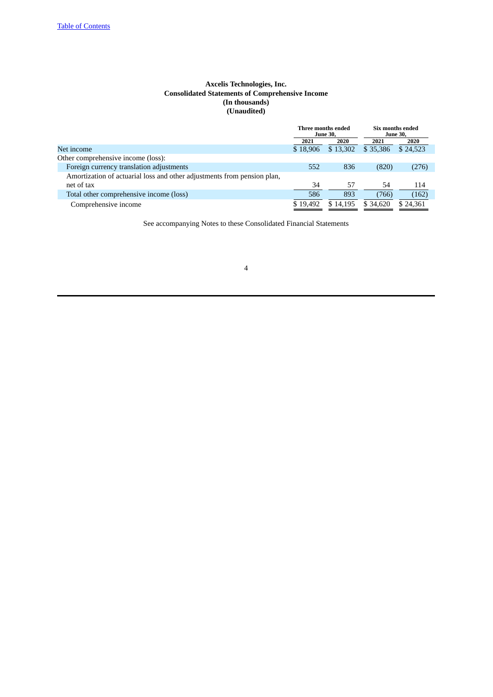# **Axcelis Technologies, Inc. Consolidated Statements of Comprehensive Income (In thousands) (Unaudited)**

<span id="page-3-0"></span>

|                                                                         | Three months ended | <b>June 30,</b> |          | Six months ended<br><b>June 30,</b> |
|-------------------------------------------------------------------------|--------------------|-----------------|----------|-------------------------------------|
|                                                                         | 2021               | 2020            | 2021     | 2020                                |
| Net income                                                              | \$18,906           | \$13,302        | \$35,386 | \$24.523                            |
| Other comprehensive income (loss):                                      |                    |                 |          |                                     |
| Foreign currency translation adjustments                                | 552                | 836             | (820)    | (276)                               |
| Amortization of actuarial loss and other adjustments from pension plan, |                    |                 |          |                                     |
| net of tax                                                              | 34                 | 57              | 54       | 114                                 |
| Total other comprehensive income (loss)                                 | 586                | 893             | (766)    | (162)                               |
| Comprehensive income                                                    | \$19.492           | \$14,195        | \$34,620 | \$24.361                            |

See accompanying Notes to these Consolidated Financial Statements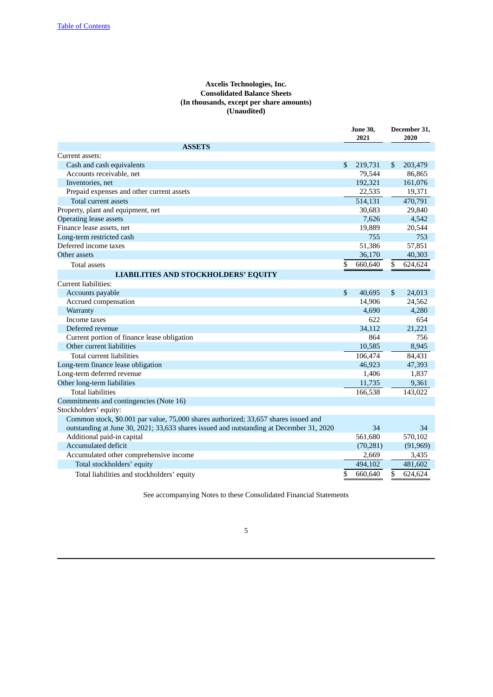# **Axcelis Technologies, Inc. Consolidated Balance Sheets (In thousands, except per share amounts) (Unaudited)**

<span id="page-4-0"></span>

|                                                                                         |                | <b>June 30,</b><br>2021 | December 31,<br>2020 |
|-----------------------------------------------------------------------------------------|----------------|-------------------------|----------------------|
| <b>ASSETS</b>                                                                           |                |                         |                      |
| Current assets:                                                                         |                |                         |                      |
| Cash and cash equivalents                                                               | \$             | 219,731                 | \$<br>203,479        |
| Accounts receivable, net                                                                |                | 79,544                  | 86,865               |
| Inventories, net                                                                        |                | 192,321                 | 161,076              |
| Prepaid expenses and other current assets                                               |                | 22,535                  | 19,371               |
| Total current assets                                                                    |                | 514,131                 | 470,791              |
| Property, plant and equipment, net                                                      |                | 30,683                  | 29,840               |
| <b>Operating lease assets</b>                                                           |                | 7,626                   | 4,542                |
| Finance lease assets, net                                                               |                | 19,889                  | 20,544               |
| Long-term restricted cash                                                               |                | 755                     | 753                  |
| Deferred income taxes                                                                   |                | 51,386                  | 57,851               |
| Other assets                                                                            |                | 36,170                  | 40,303               |
| <b>Total assets</b>                                                                     | \$             | 660,640                 | \$<br>624,624        |
| <b>LIABILITIES AND STOCKHOLDERS' EQUITY</b>                                             |                |                         |                      |
| Current liabilities:                                                                    |                |                         |                      |
| Accounts payable                                                                        | $\mathfrak{s}$ | 40,695                  | \$<br>24,013         |
| Accrued compensation                                                                    |                | 14,906                  | 24,562               |
| Warranty                                                                                |                | 4,690                   | 4,280                |
| Income taxes                                                                            |                | 622                     | 654                  |
| Deferred revenue                                                                        |                | 34,112                  | 21,221               |
| Current portion of finance lease obligation                                             |                | 864                     | 756                  |
| Other current liabilities                                                               |                | 10,585                  | 8,945                |
| Total current liabilities                                                               |                | 106,474                 | 84,431               |
| Long-term finance lease obligation                                                      |                | 46,923                  | 47,393               |
| Long-term deferred revenue                                                              |                | 1,406                   | 1,837                |
| Other long-term liabilities                                                             |                | 11,735                  | 9,361                |
| <b>Total liabilities</b>                                                                |                | 166,538                 | 143,022              |
| Commitments and contingencies (Note 16)                                                 |                |                         |                      |
| Stockholders' equity:                                                                   |                |                         |                      |
| Common stock, \$0.001 par value, 75,000 shares authorized; 33,657 shares issued and     |                |                         |                      |
| outstanding at June 30, 2021; 33,633 shares issued and outstanding at December 31, 2020 |                | 34                      | 34                   |
| Additional paid-in capital                                                              |                | 561,680                 | 570,102              |
| <b>Accumulated deficit</b>                                                              |                | (70, 281)               | (91, 969)            |
| Accumulated other comprehensive income                                                  |                | 2,669                   | 3,435                |
| Total stockholders' equity                                                              |                | 494,102                 | 481,602              |
| Total liabilities and stockholders' equity                                              | \$             | 660,640                 | \$<br>624,624        |

See accompanying Notes to these Consolidated Financial Statements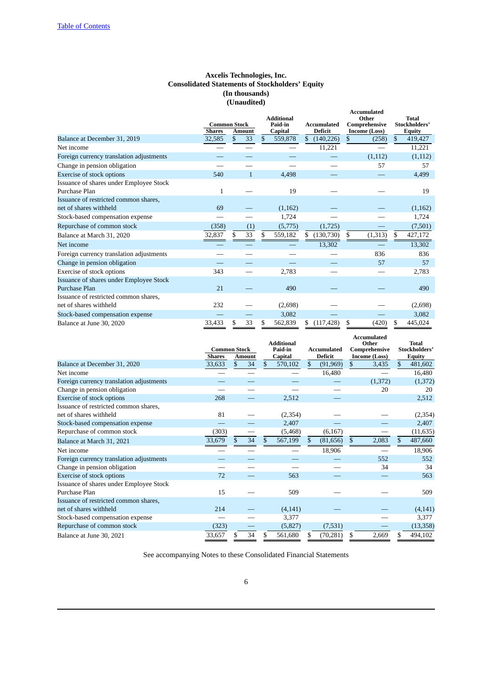# **Axcelis Technologies, Inc. Consolidated Statements of Stockholders' Equity (In thousands) (Unaudited)**

<span id="page-5-0"></span>

|                                          |                     |    |              |                              |    |                    | <b>Accumulated</b>     |                               |
|------------------------------------------|---------------------|----|--------------|------------------------------|----|--------------------|------------------------|-------------------------------|
|                                          | <b>Common Stock</b> |    |              | <b>Additional</b><br>Paid-in |    | <b>Accumulated</b> | Other<br>Comprehensive | <b>Total</b><br>Stockholders' |
|                                          | <b>Shares</b>       |    | Amount       | Capital                      |    | <b>Deficit</b>     | Income (Loss)          | Equity                        |
| Balance at December 31, 2019             | 32,585              | \$ | 33           | \$<br>559,878                | \$ | (140, 226)         | \$<br>(258)            | \$<br>419,427                 |
| Net income                               |                     |    |              |                              |    | 11,221             |                        | 11,221                        |
| Foreign currency translation adjustments |                     |    |              |                              |    |                    | (1, 112)               | (1,112)                       |
| Change in pension obligation             |                     |    |              |                              |    |                    | 57                     | 57                            |
| <b>Exercise of stock options</b>         | 540                 |    | $\mathbf{1}$ | 4,498                        |    |                    |                        | 4,499                         |
| Issuance of shares under Employee Stock  |                     |    |              |                              |    |                    |                        |                               |
| Purchase Plan                            | 1                   |    |              | 19                           |    |                    |                        | 19                            |
| Issuance of restricted common shares,    |                     |    |              |                              |    |                    |                        |                               |
| net of shares withheld                   | 69                  |    |              | (1, 162)                     |    |                    |                        | (1,162)                       |
| Stock-based compensation expense         |                     |    |              | 1,724                        |    |                    |                        | 1,724                         |
| Repurchase of common stock               | (358)               |    | (1)          | (5,775)                      |    | (1, 725)           |                        | (7,501)                       |
| Balance at March 31, 2020                | 32,837              | \$ | 33           | \$<br>559,182                | \$ | (130, 730)         | \$<br>(1,313)          | \$<br>427,172                 |
| Net income                               |                     |    |              |                              |    | 13,302             |                        | 13,302                        |
| Foreign currency translation adjustments |                     |    |              |                              |    |                    | 836                    | 836                           |
| Change in pension obligation             |                     |    |              |                              |    |                    | 57                     | 57                            |
| Exercise of stock options                | 343                 |    |              | 2,783                        |    |                    |                        | 2,783                         |
| Issuance of shares under Employee Stock  |                     |    |              |                              |    |                    |                        |                               |
| Purchase Plan                            | 21                  |    |              | 490                          |    |                    |                        | 490                           |
| Issuance of restricted common shares,    |                     |    |              |                              |    |                    |                        |                               |
| net of shares withheld                   | 232                 |    |              | (2,698)                      |    |                    |                        | (2,698)                       |
| Stock-based compensation expense         |                     |    |              | 3,082                        |    |                    |                        | 3,082                         |
| Balance at June 30, 2020                 | 33,433              | S  | 33           | \$<br>562,839                | S  | (117, 428)         | \$<br>(420)            | \$<br>445,024                 |

|                                          | <b>Common Stock</b><br><b>Shares</b> | <b>Amount</b> |     | <b>Additional</b><br>Paid-in<br>Capital | <b>Accumulated</b><br><b>Deficit</b> |    | <b>Accumulated</b><br>Other<br>Comprehensive<br><b>Income (Loss)</b> | <b>Total</b><br>Stockholders'<br><b>Equity</b> |
|------------------------------------------|--------------------------------------|---------------|-----|-----------------------------------------|--------------------------------------|----|----------------------------------------------------------------------|------------------------------------------------|
| Balance at December 31, 2020             | 33,633                               | \$<br>34      | \$  | 570,102                                 | \$<br>(91, 969)                      | \$ | 3,435                                                                | \$<br>481,602                                  |
| Net income                               |                                      |               |     |                                         | 16,480                               |    |                                                                      | 16,480                                         |
| Foreign currency translation adjustments |                                      |               |     |                                         |                                      |    | (1, 372)                                                             | (1, 372)                                       |
| Change in pension obligation             |                                      |               |     |                                         |                                      |    | 20                                                                   | 20                                             |
| <b>Exercise of stock options</b>         | 268                                  |               |     | 2,512                                   |                                      |    |                                                                      | 2,512                                          |
| Issuance of restricted common shares,    |                                      |               |     |                                         |                                      |    |                                                                      |                                                |
| net of shares withheld                   | 81                                   |               |     | (2,354)                                 |                                      |    |                                                                      | (2,354)                                        |
| Stock-based compensation expense         |                                      |               |     | 2,407                                   |                                      |    |                                                                      | 2,407                                          |
| Repurchase of common stock               | (303)                                |               |     | (5, 468)                                | (6, 167)                             |    |                                                                      | (11, 635)                                      |
| Balance at March 31, 2021                | 33,679                               | 34            | \$  | 567,199                                 | \$<br>(81, 656)                      | \$ | 2,083                                                                | \$<br>487,660                                  |
| Net income                               |                                      |               |     |                                         | 18,906                               |    |                                                                      | 18,906                                         |
| Foreign currency translation adjustments |                                      |               |     |                                         |                                      |    | 552                                                                  | 552                                            |
| Change in pension obligation             |                                      |               |     |                                         |                                      |    | 34                                                                   | 34                                             |
| Exercise of stock options                | 72                                   |               |     | 563                                     |                                      |    |                                                                      | 563                                            |
| Issuance of shares under Employee Stock  |                                      |               |     |                                         |                                      |    |                                                                      |                                                |
| Purchase Plan                            | 15                                   |               |     | 509                                     |                                      |    |                                                                      | 509                                            |
| Issuance of restricted common shares,    |                                      |               |     |                                         |                                      |    |                                                                      |                                                |
| net of shares withheld                   | 214                                  |               |     | (4, 141)                                |                                      |    |                                                                      | (4, 141)                                       |
| Stock-based compensation expense         |                                      |               |     | 3,377                                   |                                      |    |                                                                      | 3,377                                          |
| Repurchase of common stock               | (323)                                |               |     | (5,827)                                 | (7,531)                              |    |                                                                      | (13, 358)                                      |
| Balance at June 30, 2021                 | 33,657                               | 34            | \$. | 561,680                                 | (70, 281)                            | S  | 2,669                                                                | 494,102                                        |

See accompanying Notes to these Consolidated Financial Statements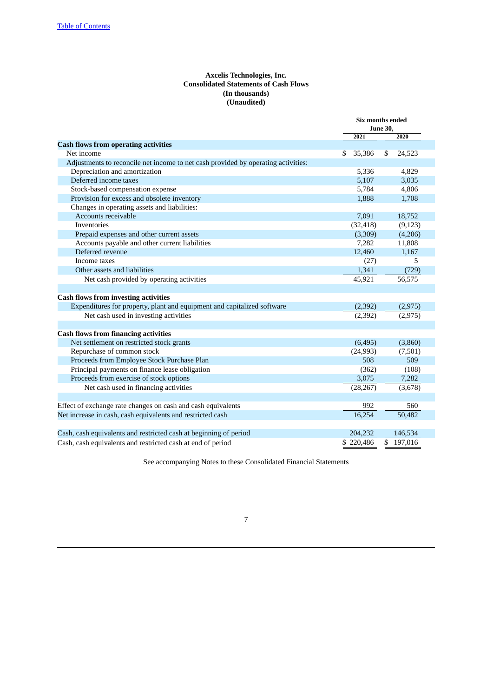# **Axcelis Technologies, Inc. Consolidated Statements of Cash Flows (In thousands) (Unaudited)**

<span id="page-6-0"></span>

|                                                                                   | <b>Six months ended</b> |               |  |
|-----------------------------------------------------------------------------------|-------------------------|---------------|--|
|                                                                                   | <b>June 30,</b><br>2020 |               |  |
|                                                                                   | 2021                    |               |  |
| <b>Cash flows from operating activities</b>                                       |                         |               |  |
| Net income                                                                        | 35,386<br>\$            | 24,523<br>\$  |  |
| Adjustments to reconcile net income to net cash provided by operating activities: |                         |               |  |
| Depreciation and amortization                                                     | 5,336                   | 4,829         |  |
| Deferred income taxes                                                             | 5,107                   | 3,035         |  |
| Stock-based compensation expense                                                  | 5,784                   | 4,806         |  |
| Provision for excess and obsolete inventory                                       | 1,888                   | 1,708         |  |
| Changes in operating assets and liabilities:                                      |                         |               |  |
| Accounts receivable                                                               | 7,091                   | 18,752        |  |
| <b>Inventories</b>                                                                | (32, 418)               | (9, 123)      |  |
| Prepaid expenses and other current assets                                         | (3,309)                 | (4,206)       |  |
| Accounts payable and other current liabilities                                    | 7,282                   | 11,808        |  |
| Deferred revenue                                                                  | 12,460                  | 1,167         |  |
| Income taxes                                                                      | (27)                    | 5             |  |
| Other assets and liabilities                                                      | 1,341                   | (729)         |  |
| Net cash provided by operating activities                                         | 45,921                  | 56,575        |  |
|                                                                                   |                         |               |  |
| <b>Cash flows from investing activities</b>                                       |                         |               |  |
| Expenditures for property, plant and equipment and capitalized software           | (2, 392)                | (2, 975)      |  |
| Net cash used in investing activities                                             | (2, 392)                | (2, 975)      |  |
|                                                                                   |                         |               |  |
| <b>Cash flows from financing activities</b>                                       |                         |               |  |
| Net settlement on restricted stock grants                                         | (6, 495)                | (3,860)       |  |
| Repurchase of common stock                                                        | (24, 993)               | (7,501)       |  |
| Proceeds from Employee Stock Purchase Plan                                        | 508                     | 509           |  |
| Principal payments on finance lease obligation                                    | (362)                   | (108)         |  |
| Proceeds from exercise of stock options                                           | 3,075                   | 7,282         |  |
| Net cash used in financing activities                                             | (28, 267)               | (3,678)       |  |
|                                                                                   |                         |               |  |
| Effect of exchange rate changes on cash and cash equivalents                      | 992                     | 560           |  |
| Net increase in cash, cash equivalents and restricted cash                        | 16,254                  | 50,482        |  |
|                                                                                   |                         |               |  |
| Cash, cash equivalents and restricted cash at beginning of period                 | 204,232                 | 146,534       |  |
| Cash, cash equivalents and restricted cash at end of period                       | \$220,486               | \$<br>197,016 |  |

See accompanying Notes to these Consolidated Financial Statements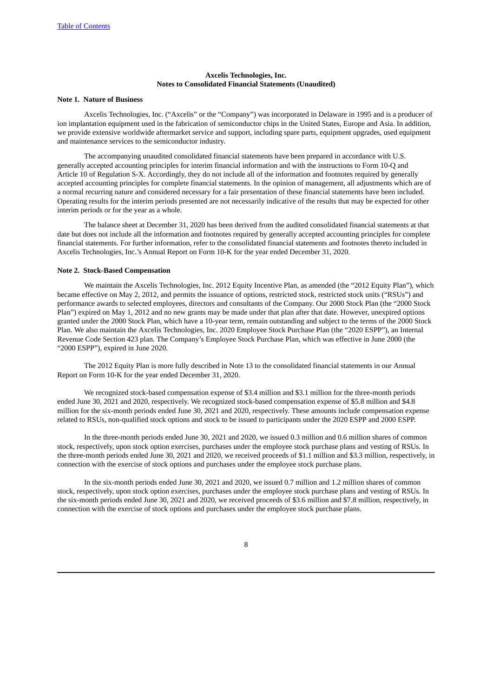# **Axcelis Technologies, Inc. Notes to Consolidated Financial Statements (Unaudited)**

#### <span id="page-7-0"></span>**Note 1. Nature of Business**

Axcelis Technologies, Inc. ("Axcelis" or the "Company") was incorporated in Delaware in 1995 and is a producer of ion implantation equipment used in the fabrication of semiconductor chips in the United States, Europe and Asia. In addition, we provide extensive worldwide aftermarket service and support, including spare parts, equipment upgrades, used equipment and maintenance services to the semiconductor industry.

The accompanying unaudited consolidated financial statements have been prepared in accordance with U.S. generally accepted accounting principles for interim financial information and with the instructions to Form 10-Q and Article 10 of Regulation S-X. Accordingly, they do not include all of the information and footnotes required by generally accepted accounting principles for complete financial statements. In the opinion of management, all adjustments which are of a normal recurring nature and considered necessary for a fair presentation of these financial statements have been included. Operating results for the interim periods presented are not necessarily indicative of the results that may be expected for other interim periods or for the year as a whole.

The balance sheet at December 31, 2020 has been derived from the audited consolidated financial statements at that date but does not include all the information and footnotes required by generally accepted accounting principles for complete financial statements. For further information, refer to the consolidated financial statements and footnotes thereto included in Axcelis Technologies, Inc.'s Annual Report on Form 10-K for the year ended December 31, 2020.

### **Note 2. Stock-Based Compensation**

We maintain the Axcelis Technologies, Inc. 2012 Equity Incentive Plan, as amended (the "2012 Equity Plan"), which became effective on May 2, 2012, and permits the issuance of options, restricted stock, restricted stock units ("RSUs") and performance awards to selected employees, directors and consultants of the Company. Our 2000 Stock Plan (the "2000 Stock Plan") expired on May 1, 2012 and no new grants may be made under that plan after that date. However, unexpired options granted under the 2000 Stock Plan, which have a 10-year term, remain outstanding and subject to the terms of the 2000 Stock Plan. We also maintain the Axcelis Technologies, Inc. 2020 Employee Stock Purchase Plan (the "2020 ESPP"), an Internal Revenue Code Section 423 plan. The Company's Employee Stock Purchase Plan, which was effective in June 2000 (the "2000 ESPP"), expired in June 2020.

The 2012 Equity Plan is more fully described in Note 13 to the consolidated financial statements in our Annual Report on Form 10-K for the year ended December 31, 2020.

We recognized stock-based compensation expense of \$3.4 million and \$3.1 million for the three-month periods ended June 30, 2021 and 2020, respectively. We recognized stock-based compensation expense of \$5.8 million and \$4.8 million for the six-month periods ended June 30, 2021 and 2020, respectively. These amounts include compensation expense related to RSUs, non-qualified stock options and stock to be issued to participants under the 2020 ESPP and 2000 ESPP.

In the three-month periods ended June 30, 2021 and 2020, we issued 0.3 million and 0.6 million shares of common stock, respectively, upon stock option exercises, purchases under the employee stock purchase plans and vesting of RSUs. In the three-month periods ended June 30, 2021 and 2020, we received proceeds of \$1.1 million and \$3.3 million, respectively, in connection with the exercise of stock options and purchases under the employee stock purchase plans.

In the six-month periods ended June 30, 2021 and 2020, we issued 0.7 million and 1.2 million shares of common stock, respectively, upon stock option exercises, purchases under the employee stock purchase plans and vesting of RSUs. In the six-month periods ended June 30, 2021 and 2020, we received proceeds of \$3.6 million and \$7.8 million, respectively, in connection with the exercise of stock options and purchases under the employee stock purchase plans.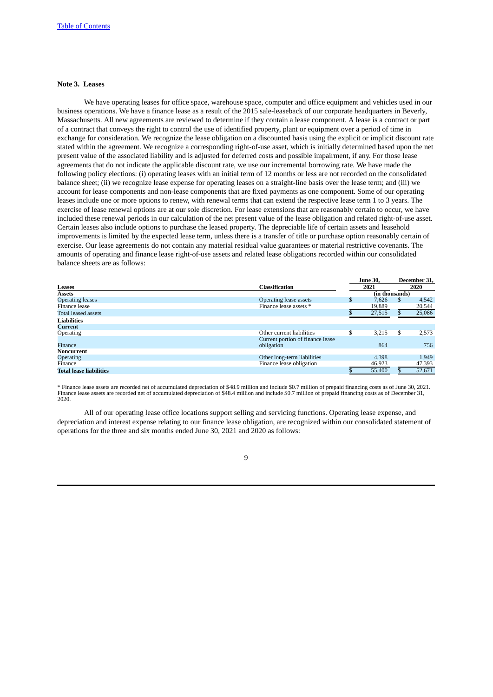#### **Note 3. Leases**

We have operating leases for office space, warehouse space, computer and office equipment and vehicles used in our business operations. We have a finance lease as a result of the 2015 sale-leaseback of our corporate headquarters in Beverly, Massachusetts. All new agreements are reviewed to determine if they contain a lease component. A lease is a contract or part of a contract that conveys the right to control the use of identified property, plant or equipment over a period of time in exchange for consideration. We recognize the lease obligation on a discounted basis using the explicit or implicit discount rate stated within the agreement. We recognize a corresponding right-of-use asset, which is initially determined based upon the net present value of the associated liability and is adjusted for deferred costs and possible impairment, if any. For those lease agreements that do not indicate the applicable discount rate, we use our incremental borrowing rate. We have made the following policy elections: (i) operating leases with an initial term of 12 months or less are not recorded on the consolidated balance sheet; (ii) we recognize lease expense for operating leases on a straight-line basis over the lease term; and (iii) we account for lease components and non-lease components that are fixed payments as one component. Some of our operating leases include one or more options to renew, with renewal terms that can extend the respective lease term 1 to 3 years. The exercise of lease renewal options are at our sole discretion. For lease extensions that are reasonably certain to occur, we have included these renewal periods in our calculation of the net present value of the lease obligation and related right-of-use asset. Certain leases also include options to purchase the leased property. The depreciable life of certain assets and leasehold improvements is limited by the expected lease term, unless there is a transfer of title or purchase option reasonably certain of exercise. Our lease agreements do not contain any material residual value guarantees or material restrictive covenants. The amounts of operating and finance lease right-of-use assets and related lease obligations recorded within our consolidated balance sheets are as follows:

|                                |                                                | <b>June 30.</b> |              | December 31, |
|--------------------------------|------------------------------------------------|-----------------|--------------|--------------|
| Leases                         | <b>Classification</b>                          | 2021            |              | 2020         |
| <b>Assets</b>                  |                                                | (in thousands)  |              |              |
| <b>Operating leases</b>        | Operating lease assets                         | \$<br>7.626     | $\mathbf{s}$ | 4,542        |
| Finance lease                  | Finance lease assets *                         | 19,889          |              | 20,544       |
| <b>Total leased assets</b>     |                                                | 27,515          |              | 25,086       |
| <b>Liabilities</b>             |                                                |                 |              |              |
| Current                        |                                                |                 |              |              |
| Operating                      | Other current liabilities                      | \$<br>3.215     | S            | 2,573        |
| Finance                        | Current portion of finance lease<br>obligation | 864             |              | 756          |
| Noncurrent                     |                                                |                 |              |              |
| <b>Operating</b>               | Other long-term liabilities                    | 4,398           |              | 1,949        |
| Finance                        | Finance lease obligation                       | 46,923          |              | 47,393       |
| <b>Total lease liabilities</b> |                                                | 55,400          |              | 52,671       |

\* Finance lease assets are recorded net of accumulated depreciation of \$48.9 million and include \$0.7 million of prepaid financing costs as of June 30, 2021.<br>Finance lease assets are recorded net of accumulated depreciatio 2020.

All of our operating lease office locations support selling and servicing functions. Operating lease expense, and depreciation and interest expense relating to our finance lease obligation, are recognized within our consolidated statement of operations for the three and six months ended June 30, 2021 and 2020 as follows: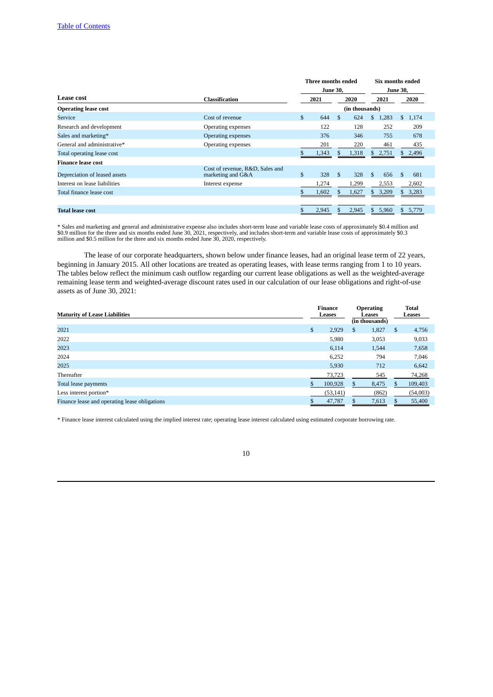|                               |                                                      |              | Three months ended |     |                |               | Six months ended |    |         |
|-------------------------------|------------------------------------------------------|--------------|--------------------|-----|----------------|---------------|------------------|----|---------|
|                               |                                                      |              | <b>June 30.</b>    |     |                |               | <b>June 30,</b>  |    |         |
| Lease cost                    | <b>Classification</b>                                | 2020<br>2021 |                    |     |                | 2021          |                  |    | 2020    |
| <b>Operating lease cost</b>   |                                                      |              |                    |     | (in thousands) |               |                  |    |         |
| Service                       | Cost of revenue                                      | \$           | 644                | \$. | 624            | \$            | 1,283            |    | \$1,174 |
| Research and development      | Operating expenses                                   |              | 122                |     | 128            |               | 252              |    | 209     |
| Sales and marketing*          | Operating expenses                                   |              | 376                |     | 346            |               | 755              |    | 678     |
| General and administrative*   | Operating expenses                                   |              | 201                |     | 220            |               | 461              |    | 435     |
| Total operating lease cost    |                                                      |              | 1,343              |     | 1,318          |               | \$2,751          |    | 2,496   |
| <b>Finance lease cost</b>     |                                                      |              |                    |     |                |               |                  |    |         |
| Depreciation of leased assets | Cost of revenue, R&D, Sales and<br>marketing and G&A | \$           | 328                | -S  | 328            | $\mathcal{S}$ | 656              | \$ | 681     |
| Interest on lease liabilities | Interest expense                                     |              | 1,274              |     | 1,299          |               | 2,553            |    | 2,602   |
| Total finance lease cost      |                                                      |              | 1,602              |     | 1,627          | S.            | 3,209            |    | 3,283   |
| <b>Total lease cost</b>       |                                                      |              | 2,945              |     | 2,945          | \$.           | 5,960            | S. | 5,779   |

\* Sales and marketing and general and administrative expense also includes short-term lease and variable lease costs of approximately \$0.4 million and<br>\$0.9 million for the three and six months ended June 30, 2021, respecti

The lease of our corporate headquarters, shown below under finance leases, had an original lease term of 22 years, beginning in January 2015. All other locations are treated as operating leases, with lease terms ranging from 1 to 10 years. The tables below reflect the minimum cash outflow regarding our current lease obligations as well as the weighted-average remaining lease term and weighted-average discount rates used in our calculation of our lease obligations and right-of-use assets as of June 30, 2021:

| <b>Maturity of Lease Liabilities</b>          | Finance<br>Leases |   | <b>Operating</b><br>Leases<br>(in thousands) | <b>Total</b><br>Leases |          |
|-----------------------------------------------|-------------------|---|----------------------------------------------|------------------------|----------|
| 2021                                          | \$<br>2,929       | S | 1,827                                        | S                      | 4,756    |
| 2022                                          | 5,980             |   | 3,053                                        |                        | 9,033    |
| 2023                                          | 6,114             |   | 1,544                                        |                        | 7,658    |
| 2024                                          | 6,252             |   | 794                                          |                        | 7,046    |
| 2025                                          | 5,930             |   | 712                                          |                        | 6,642    |
| Thereafter                                    | 73,723            |   | 545                                          |                        | 74,268   |
| Total lease payments                          | 100,928           |   | 8,475                                        | S                      | 109,403  |
| Less interest portion*                        | (53, 141)         |   | (862)                                        |                        | (54,003) |
| Finance lease and operating lease obligations | 47,787            |   | 7,613                                        |                        | 55,400   |

\* Finance lease interest calculated using the implied interest rate; operating lease interest calculated using estimated corporate borrowing rate.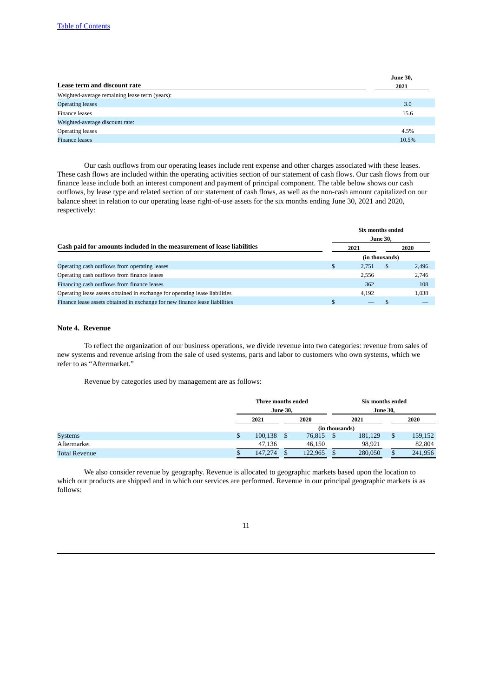|                                                | <b>June 30,</b> |
|------------------------------------------------|-----------------|
| Lease term and discount rate                   | 2021            |
| Weighted-average remaining lease term (years): |                 |
| <b>Operating leases</b>                        | 3.0             |
| Finance leases                                 | 15.6            |
| Weighted-average discount rate:                |                 |
| Operating leases                               | 4.5%            |
| <b>Finance leases</b>                          | 10.5%           |

Our cash outflows from our operating leases include rent expense and other charges associated with these leases. These cash flows are included within the operating activities section of our statement of cash flows. Our cash flows from our finance lease include both an interest component and payment of principal component. The table below shows our cash outflows, by lease type and related section of our statement of cash flows, as well as the non-cash amount capitalized on our balance sheet in relation to our operating lease right-of-use assets for the six months ending June 30, 2021 and 2020, respectively:

|                                                                             | Six months ended |                 |                |       |  |  |  |  |
|-----------------------------------------------------------------------------|------------------|-----------------|----------------|-------|--|--|--|--|
|                                                                             |                  | <b>June 30,</b> |                |       |  |  |  |  |
| Cash paid for amounts included in the measurement of lease liabilities      |                  | 2021            |                | 2020  |  |  |  |  |
|                                                                             |                  |                 | (in thousands) |       |  |  |  |  |
| Operating cash outflows from operating leases                               |                  | 2.751           | <sup>\$</sup>  | 2,496 |  |  |  |  |
| Operating cash outflows from finance leases                                 |                  | 2.556           |                | 2,746 |  |  |  |  |
| Financing cash outflows from finance leases                                 |                  | 362             |                | 108   |  |  |  |  |
| Operating lease assets obtained in exchange for operating lease liabilities |                  | 4,192           |                | 1,038 |  |  |  |  |
| Finance lease assets obtained in exchange for new finance lease liabilities |                  |                 |                |       |  |  |  |  |

## **Note 4. Revenue**

To reflect the organization of our business operations, we divide revenue into two categories: revenue from sales of new systems and revenue arising from the sale of used systems, parts and labor to customers who own systems, which we refer to as "Aftermarket."

Revenue by categories used by management are as follows:

|                      | Three months ended |  |         | Six months ended |    |         |
|----------------------|--------------------|--|---------|------------------|----|---------|
|                      | <b>June 30,</b>    |  |         | <b>June 30,</b>  |    |         |
|                      | 2021               |  | 2020    | 2021             |    | 2020    |
|                      |                    |  |         | (in thousands)   |    |         |
| <b>Systems</b>       | \$<br>100,138      |  | 76,815  | 181,129          | \$ | 159,152 |
| Aftermarket          | 47,136             |  | 46,150  | 98,921           |    | 82,804  |
| <b>Total Revenue</b> | 147,274            |  | 122,965 | 280,050          | S  | 241,956 |

We also consider revenue by geography. Revenue is allocated to geographic markets based upon the location to which our products are shipped and in which our services are performed. Revenue in our principal geographic markets is as follows: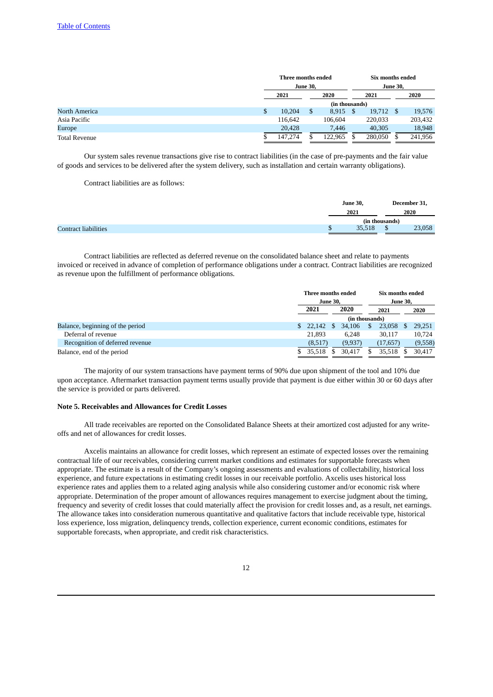|                      |    | Three months ended |                 |                |      | Six months ended |                 |         |  |
|----------------------|----|--------------------|-----------------|----------------|------|------------------|-----------------|---------|--|
|                      |    |                    | <b>June 30,</b> |                |      |                  | <b>June 30,</b> |         |  |
|                      |    | 2021               |                 | 2020<br>2021   |      |                  | 2020            |         |  |
|                      |    |                    |                 | (in thousands) |      |                  |                 |         |  |
| North America        | \$ | 10,204             | \$              | 8,915          | - \$ | 19,712           |                 | 19,576  |  |
| Asia Pacific         |    | 116.642            |                 | 106.604        |      | 220.033          |                 | 203,432 |  |
| Europe               |    | 20,428             |                 | 7.446          |      | 40,305           |                 | 18,948  |  |
| <b>Total Revenue</b> |    | 147,274            |                 | 122.965        |      | 280,050          |                 | 241,956 |  |

Our system sales revenue transactions give rise to contract liabilities (in the case of pre-payments and the fair value of goods and services to be delivered after the system delivery, such as installation and certain warranty obligations).

Contract liabilities are as follows:

|                             |     | <b>June 30,</b> |                | December 31, |
|-----------------------------|-----|-----------------|----------------|--------------|
|                             |     | 2021            | 2020           |              |
|                             |     |                 | (in thousands) |              |
| <b>Contract liabilities</b> | ٦b. | 35,518          |                | 23,058       |

Contract liabilities are reflected as deferred revenue on the consolidated balance sheet and relate to payments invoiced or received in advance of completion of performance obligations under a contract. Contract liabilities are recognized as revenue upon the fulfillment of performance obligations.

|                                  | Three months ended |                 |  | Six months ended |                 |             |  |         |      |  |      |  |  |      |
|----------------------------------|--------------------|-----------------|--|------------------|-----------------|-------------|--|---------|------|--|------|--|--|------|
|                                  |                    | <b>June 30,</b> |  |                  | <b>June 30,</b> |             |  |         |      |  |      |  |  |      |
|                                  | 2021               |                 |  |                  |                 |             |  |         | 2020 |  | 2021 |  |  | 2020 |
|                                  |                    |                 |  |                  | (in thousands)  |             |  |         |      |  |      |  |  |      |
| Balance, beginning of the period |                    | $$22,142$ \$    |  | 34,106           |                 | $23,058$ \$ |  | 29,251  |      |  |      |  |  |      |
| Deferral of revenue              |                    | 21,893          |  | 6.248            |                 | 30,117      |  | 10,724  |      |  |      |  |  |      |
| Recognition of deferred revenue  |                    | (8,517)         |  | (9,937)          |                 | (17, 657)   |  | (9,558) |      |  |      |  |  |      |
| Balance, end of the period       |                    | 35,518          |  | 30.417           |                 | 35,518      |  | 30.417  |      |  |      |  |  |      |

The majority of our system transactions have payment terms of 90% due upon shipment of the tool and 10% due upon acceptance. Aftermarket transaction payment terms usually provide that payment is due either within 30 or 60 days after the service is provided or parts delivered.

#### **Note 5. Receivables and Allowances for Credit Losses**

All trade receivables are reported on the Consolidated Balance Sheets at their amortized cost adjusted for any writeoffs and net of allowances for credit losses.

Axcelis maintains an allowance for credit losses, which represent an estimate of expected losses over the remaining contractual life of our receivables, considering current market conditions and estimates for supportable forecasts when appropriate. The estimate is a result of the Company's ongoing assessments and evaluations of collectability, historical loss experience, and future expectations in estimating credit losses in our receivable portfolio. Axcelis uses historical loss experience rates and applies them to a related aging analysis while also considering customer and/or economic risk where appropriate. Determination of the proper amount of allowances requires management to exercise judgment about the timing, frequency and severity of credit losses that could materially affect the provision for credit losses and, as a result, net earnings. The allowance takes into consideration numerous quantitative and qualitative factors that include receivable type, historical loss experience, loss migration, delinquency trends, collection experience, current economic conditions, estimates for supportable forecasts, when appropriate, and credit risk characteristics.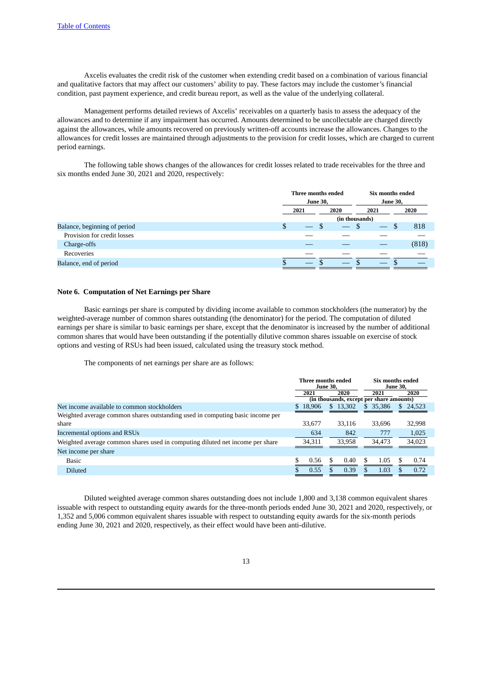Axcelis evaluates the credit risk of the customer when extending credit based on a combination of various financial and qualitative factors that may affect our customers' ability to pay. These factors may include the customer's financial condition, past payment experience, and credit bureau report, as well as the value of the underlying collateral.

Management performs detailed reviews of Axcelis' receivables on a quarterly basis to assess the adequacy of the allowances and to determine if any impairment has occurred. Amounts determined to be uncollectable are charged directly against the allowances, while amounts recovered on previously written-off accounts increase the allowances. Changes to the allowances for credit losses are maintained through adjustments to the provision for credit losses, which are charged to current period earnings.

The following table shows changes of the allowances for credit losses related to trade receivables for the three and six months ended June 30, 2021 and 2020, respectively:

|                              | Three months ended<br><b>June 30,</b> |    |                | Six months ended | <b>June 30,</b> |       |
|------------------------------|---------------------------------------|----|----------------|------------------|-----------------|-------|
|                              | 2020<br>2021                          |    | 2021           |                  |                 | 2020  |
|                              |                                       |    | (in thousands) |                  |                 |       |
| Balance, beginning of period | \$                                    | ۰D |                |                  | Ъ               | 818   |
| Provision for credit losses  |                                       |    |                |                  |                 |       |
| Charge-offs                  |                                       |    |                |                  |                 | (818) |
| Recoveries                   |                                       |    |                |                  |                 |       |
| Balance, end of period       |                                       |    |                |                  |                 |       |

#### **Note 6. Computation of Net Earnings per Share**

Basic earnings per share is computed by dividing income available to common stockholders (the numerator) by the weighted-average number of common shares outstanding (the denominator) for the period. The computation of diluted earnings per share is similar to basic earnings per share, except that the denominator is increased by the number of additional common shares that would have been outstanding if the potentially dilutive common shares issuable on exercise of stock options and vesting of RSUs had been issued, calculated using the treasury stock method.

The components of net earnings per share are as follows:

|                                                                               | Three months ended | <b>June 30.</b>                          |              | Six months ended<br><b>June 30.</b> |
|-------------------------------------------------------------------------------|--------------------|------------------------------------------|--------------|-------------------------------------|
|                                                                               | 2021               | 2020                                     | 2021         | 2020                                |
|                                                                               |                    | (in thousands, except per share amounts) |              |                                     |
| Net income available to common stockholders                                   | \$18.906           | \$13,302                                 | 35,386<br>S. | 24,523<br>\$.                       |
| Weighted average common shares outstanding used in computing basic income per |                    |                                          |              |                                     |
| share                                                                         | 33,677             | 33,116                                   | 33.696       | 32,998                              |
| Incremental options and RSUs                                                  | 634                | 842                                      | 777          | 1,025                               |
| Weighted average common shares used in computing diluted net income per share | 34.311             | 33.958                                   | 34,473       | 34.023                              |
| Net income per share                                                          |                    |                                          |              |                                     |
| <b>Basic</b>                                                                  | \$<br>0.56         | 0.40                                     | \$<br>1.05   | \$<br>0.74                          |
| <b>Diluted</b>                                                                | 0.55               | 0.39                                     | 1.03         | 0.72                                |

Diluted weighted average common shares outstanding does not include 1,800 and 3,138 common equivalent shares issuable with respect to outstanding equity awards for the three-month periods ended June 30, 2021 and 2020, respectively, or 1,352 and 5,006 common equivalent shares issuable with respect to outstanding equity awards for the six-month periods ending June 30, 2021 and 2020, respectively, as their effect would have been anti-dilutive.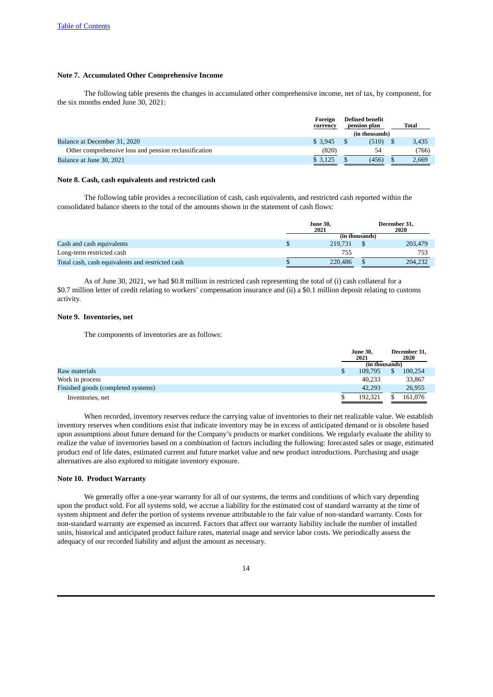# **Note 7. Accumulated Other Comprehensive Income**

The following table presents the changes in accumulated other comprehensive income, net of tax, by component, for the six months ended June 30, 2021:

|                                                       | Foreign<br>currency | <b>Defined benefit</b><br>pension plan |                |  |       |
|-------------------------------------------------------|---------------------|----------------------------------------|----------------|--|-------|
|                                                       |                     |                                        | (in thousands) |  |       |
| Balance at December 31, 2020                          | \$3.945             |                                        | (510)          |  | 3,435 |
| Other comprehensive loss and pension reclassification | (820)               |                                        | 54             |  | (766) |
| Balance at June 30, 2021                              | \$3,125             |                                        | (456)          |  | 2,669 |

#### **Note 8. Cash, cash equivalents and restricted cash**

The following table provides a reconciliation of cash, cash equivalents, and restricted cash reported within the consolidated balance sheets to the total of the amounts shown in the statement of cash flows:

|                                                  |  | <b>June 30,</b><br>2021 |  | December 31,<br>2020 |
|--------------------------------------------------|--|-------------------------|--|----------------------|
|                                                  |  | (in thousands)          |  |                      |
| Cash and cash equivalents                        |  | 219.731                 |  | 203,479              |
| Long-term restricted cash                        |  | 755                     |  | 753                  |
| Total cash, cash equivalents and restricted cash |  | 220,486                 |  | 204,232              |

As of June 30, 2021, we had \$0.8 million in restricted cash representing the total of (i) cash collateral for a \$0.7 million letter of credit relating to workers' compensation insurance and (ii) a \$0.1 million deposit relating to customs activity.

# **Note 9. Inventories, net**

The components of inventories are as follows:

|                                    | <b>June 30,</b><br>2021 | December 31,<br>2020 |
|------------------------------------|-------------------------|----------------------|
|                                    | (in thousands)          |                      |
| Raw materials                      | 109.795                 | 100.254              |
| Work in process                    | 40.233                  | 33,867               |
| Finished goods (completed systems) | 42.293                  | 26,955               |
| Inventories, net                   | 192.321                 | 161.076              |

When recorded, inventory reserves reduce the carrying value of inventories to their net realizable value. We establish inventory reserves when conditions exist that indicate inventory may be in excess of anticipated demand or is obsolete based upon assumptions about future demand for the Company's products or market conditions. We regularly evaluate the ability to realize the value of inventories based on a combination of factors including the following: forecasted sales or usage, estimated product end of life dates, estimated current and future market value and new product introductions. Purchasing and usage alternatives are also explored to mitigate inventory exposure.

# **Note 10. Product Warranty**

We generally offer a one-year warranty for all of our systems, the terms and conditions of which vary depending upon the product sold. For all systems sold, we accrue a liability for the estimated cost of standard warranty at the time of system shipment and defer the portion of systems revenue attributable to the fair value of non-standard warranty. Costs for non-standard warranty are expensed as incurred. Factors that affect our warranty liability include the number of installed units, historical and anticipated product failure rates, material usage and service labor costs. We periodically assess the adequacy of our recorded liability and adjust the amount as necessary.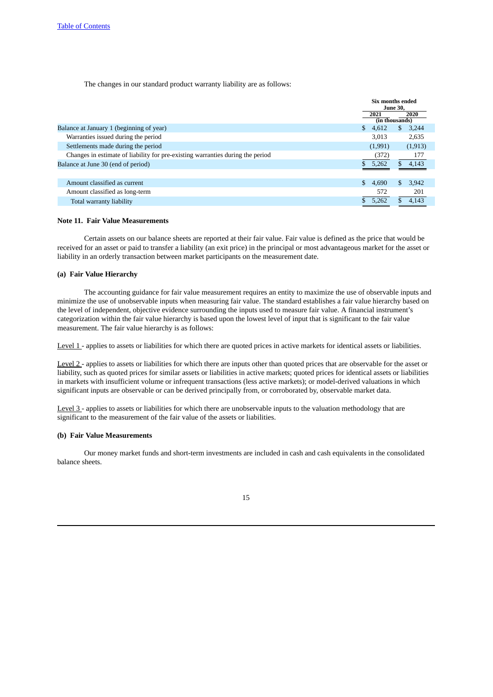The changes in our standard product warranty liability are as follows:

|                                                                                |                       | Six months ended<br><b>June 30.</b> |
|--------------------------------------------------------------------------------|-----------------------|-------------------------------------|
|                                                                                | 2021                  | 2020<br>(in thousands)              |
| Balance at January 1 (beginning of year)                                       | $\mathbf{S}$<br>4,612 | 3,244<br>\$.                        |
| Warranties issued during the period                                            | 3.013                 | 2,635                               |
| Settlements made during the period                                             | (1,991)               | (1, 913)                            |
| Changes in estimate of liability for pre-existing warranties during the period | (372)                 | 177                                 |
| Balance at June 30 (end of period)                                             | 5,262                 | S.<br>4,143                         |
|                                                                                |                       |                                     |
| Amount classified as current                                                   | \$<br>4.690           | \$<br>3.942                         |
| Amount classified as long-term                                                 | 572                   | 201                                 |
| Total warranty liability                                                       | 5.262                 | 4.143                               |
|                                                                                |                       |                                     |

#### **Note 11. Fair Value Measurements**

Certain assets on our balance sheets are reported at their fair value. Fair value is defined as the price that would be received for an asset or paid to transfer a liability (an exit price) in the principal or most advantageous market for the asset or liability in an orderly transaction between market participants on the measurement date.

# **(a) Fair Value Hierarchy**

The accounting guidance for fair value measurement requires an entity to maximize the use of observable inputs and minimize the use of unobservable inputs when measuring fair value. The standard establishes a fair value hierarchy based on the level of independent, objective evidence surrounding the inputs used to measure fair value. A financial instrument's categorization within the fair value hierarchy is based upon the lowest level of input that is significant to the fair value measurement. The fair value hierarchy is as follows:

Level 1 - applies to assets or liabilities for which there are quoted prices in active markets for identical assets or liabilities.

Level 2 - applies to assets or liabilities for which there are inputs other than quoted prices that are observable for the asset or liability, such as quoted prices for similar assets or liabilities in active markets; quoted prices for identical assets or liabilities in markets with insufficient volume or infrequent transactions (less active markets); or model-derived valuations in which significant inputs are observable or can be derived principally from, or corroborated by, observable market data.

Level 3 - applies to assets or liabilities for which there are unobservable inputs to the valuation methodology that are significant to the measurement of the fair value of the assets or liabilities.

#### **(b) Fair Value Measurements**

Our money market funds and short-term investments are included in cash and cash equivalents in the consolidated balance sheets.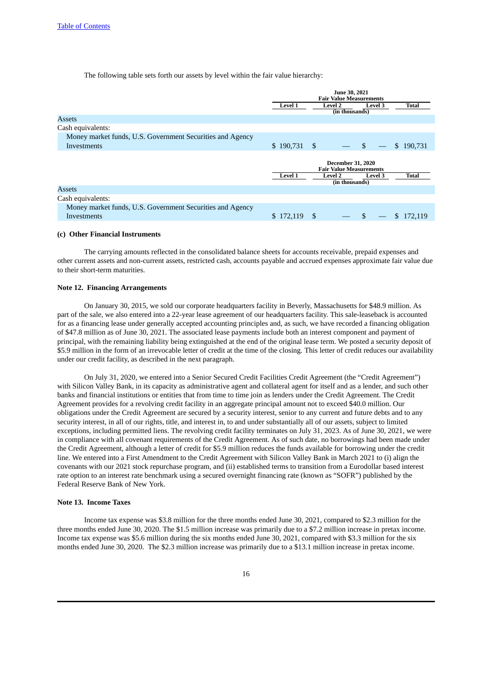The following table sets forth our assets by level within the fair value hierarchy:

|                                                           | June 30, 2021<br><b>Fair Value Measurements</b>            |                                  |         |               |  |  |  |
|-----------------------------------------------------------|------------------------------------------------------------|----------------------------------|---------|---------------|--|--|--|
|                                                           | Level 1                                                    | <b>Level 2</b>                   | Level 3 | Total         |  |  |  |
|                                                           |                                                            | (in thousands)                   |         |               |  |  |  |
| Assets                                                    |                                                            |                                  |         |               |  |  |  |
| Cash equivalents:                                         |                                                            |                                  |         |               |  |  |  |
| Money market funds, U.S. Government Securities and Agency |                                                            |                                  |         |               |  |  |  |
| <b>Investments</b>                                        | $$190,731$ \ \$                                            | $-$ \$                           |         | \$190,731     |  |  |  |
|                                                           | <b>December 31, 2020</b><br><b>Fair Value Measurements</b> |                                  |         |               |  |  |  |
|                                                           | Level 1                                                    | <b>Level 2</b><br>(in thousands) | Level 3 | Total         |  |  |  |
| Assets                                                    |                                                            |                                  |         |               |  |  |  |
| Cash equivalents:                                         |                                                            |                                  |         |               |  |  |  |
| Money market funds, U.S. Government Securities and Agency |                                                            |                                  |         |               |  |  |  |
| Investments                                               | \$172,119                                                  | \$                               | -\$     | S.<br>172.119 |  |  |  |

#### **(c) Other Financial Instruments**

The carrying amounts reflected in the consolidated balance sheets for accounts receivable, prepaid expenses and other current assets and non-current assets, restricted cash, accounts payable and accrued expenses approximate fair value due to their short-term maturities.

### **Note 12. Financing Arrangements**

On January 30, 2015, we sold our corporate headquarters facility in Beverly, Massachusetts for \$48.9 million. As part of the sale, we also entered into a 22-year lease agreement of our headquarters facility. This sale-leaseback is accounted for as a financing lease under generally accepted accounting principles and, as such, we have recorded a financing obligation of \$47.8 million as of June 30, 2021. The associated lease payments include both an interest component and payment of principal, with the remaining liability being extinguished at the end of the original lease term. We posted a security deposit of \$5.9 million in the form of an irrevocable letter of credit at the time of the closing. This letter of credit reduces our availability under our credit facility, as described in the next paragraph.

On July 31, 2020, we entered into a Senior Secured Credit Facilities Credit Agreement (the "Credit Agreement") with Silicon Valley Bank, in its capacity as administrative agent and collateral agent for itself and as a lender, and such other banks and financial institutions or entities that from time to time join as lenders under the Credit Agreement. The Credit Agreement provides for a revolving credit facility in an aggregate principal amount not to exceed \$40.0 million. Our obligations under the Credit Agreement are secured by a security interest, senior to any current and future debts and to any security interest, in all of our rights, title, and interest in, to and under substantially all of our assets, subject to limited exceptions, including permitted liens. The revolving credit facility terminates on July 31, 2023. As of June 30, 2021, we were in compliance with all covenant requirements of the Credit Agreement. As of such date, no borrowings had been made under the Credit Agreement, although a letter of credit for \$5.9 million reduces the funds available for borrowing under the credit line. We entered into a First Amendment to the Credit Agreement with Silicon Valley Bank in March 2021 to (i) align the covenants with our 2021 stock repurchase program, and (ii) established terms to transition from a Eurodollar based interest rate option to an interest rate benchmark using a secured overnight financing rate (known as "SOFR") published by the Federal Reserve Bank of New York.

#### **Note 13. Income Taxes**

Income tax expense was \$3.8 million for the three months ended June 30, 2021, compared to \$2.3 million for the three months ended June 30, 2020. The \$1.5 million increase was primarily due to a \$7.2 million increase in pretax income. Income tax expense was \$5.6 million during the six months ended June 30, 2021, compared with \$3.3 million for the six months ended June 30, 2020. The \$2.3 million increase was primarily due to a \$13.1 million increase in pretax income.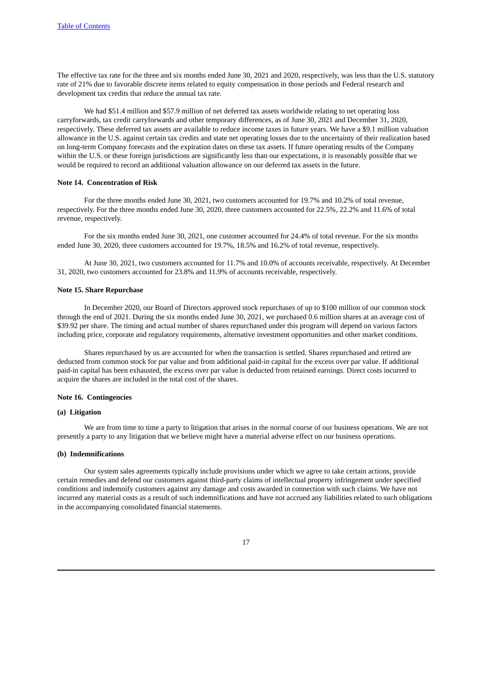The effective tax rate for the three and six months ended June 30, 2021 and 2020, respectively, was less than the U.S. statutory rate of 21% due to favorable discrete items related to equity compensation in those periods and Federal research and development tax credits that reduce the annual tax rate.

We had \$51.4 million and \$57.9 million of net deferred tax assets worldwide relating to net operating loss carryforwards, tax credit carryforwards and other temporary differences, as of June 30, 2021 and December 31, 2020, respectively. These deferred tax assets are available to reduce income taxes in future years. We have a \$9.1 million valuation allowance in the U.S. against certain tax credits and state net operating losses due to the uncertainty of their realization based on long-term Company forecasts and the expiration dates on these tax assets. If future operating results of the Company within the U.S. or these foreign jurisdictions are significantly less than our expectations, it is reasonably possible that we would be required to record an additional valuation allowance on our deferred tax assets in the future.

#### **Note 14. Concentration of Risk**

For the three months ended June 30, 2021, two customers accounted for 19.7% and 10.2% of total revenue, respectively. For the three months ended June 30, 2020, three customers accounted for 22.5%, 22.2% and 11.6% of total revenue, respectively.

For the six months ended June 30, 2021, one customer accounted for 24.4% of total revenue. For the six months ended June 30, 2020, three customers accounted for 19.7%, 18.5% and 16.2% of total revenue, respectively.

At June 30, 2021, two customers accounted for 11.7% and 10.0% of accounts receivable, respectively. At December 31, 2020, two customers accounted for 23.8% and 11.9% of accounts receivable, respectively.

#### **Note 15. Share Repurchase**

In December 2020, our Board of Directors approved stock repurchases of up to \$100 million of our common stock through the end of 2021. During the six months ended June 30, 2021, we purchased 0.6 million shares at an average cost of \$39.92 per share. The timing and actual number of shares repurchased under this program will depend on various factors including price, corporate and regulatory requirements, alternative investment opportunities and other market conditions.

Shares repurchased by us are accounted for when the transaction is settled. Shares repurchased and retired are deducted from common stock for par value and from additional paid-in capital for the excess over par value. If additional paid-in capital has been exhausted, the excess over par value is deducted from retained earnings. Direct costs incurred to acquire the shares are included in the total cost of the shares.

# **Note 16. Contingencies**

### **(a) Litigation**

We are from time to time a party to litigation that arises in the normal course of our business operations. We are not presently a party to any litigation that we believe might have a material adverse effect on our business operations.

### **(b) Indemnifications**

Our system sales agreements typically include provisions under which we agree to take certain actions, provide certain remedies and defend our customers against third-party claims of intellectual property infringement under specified conditions and indemnify customers against any damage and costs awarded in connection with such claims. We have not incurred any material costs as a result of such indemnifications and have not accrued any liabilities related to such obligations in the accompanying consolidated financial statements.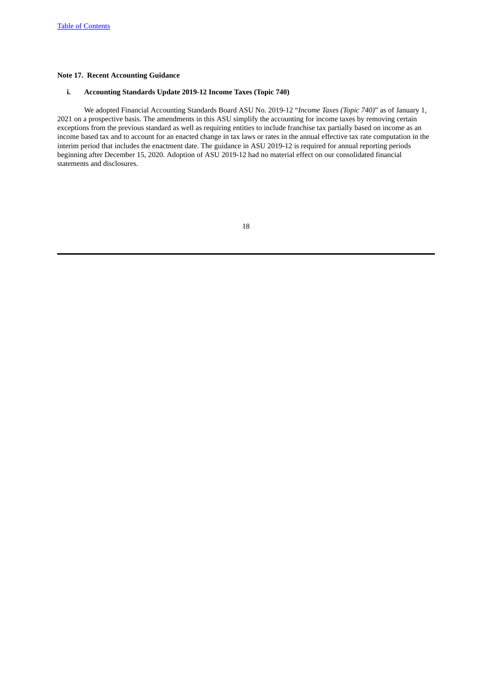# **Note 17. Recent Accounting Guidance**

# **i. Accounting Standards Update 2019-12 Income Taxes (Topic 740)**

We adopted Financial Accounting Standards Board ASU No. 2019-12 "*Income Taxes (Topic 740)*" as of January 1, 2021 on a prospective basis. The amendments in this ASU simplify the accounting for income taxes by removing certain exceptions from the previous standard as well as requiring entities to include franchise tax partially based on income as an income based tax and to account for an enacted change in tax laws or rates in the annual effective tax rate computation in the interim period that includes the enactment date. The guidance in ASU 2019-12 is required for annual reporting periods beginning after December 15, 2020. Adoption of ASU 2019-12 had no material effect on our consolidated financial statements and disclosures.

| I | ٠<br>۰<br>۰. |
|---|--------------|
| o | ٦<br>v       |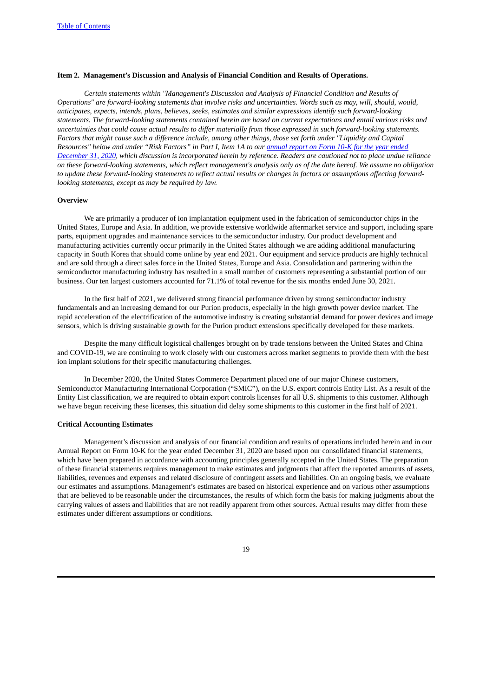# <span id="page-18-0"></span>**Item 2. Management's Discussion and Analysis of Financial Condition and Results of Operations.**

*Certain statements within "Management's Discussion and Analysis of Financial Condition and Results of* Operations" are forward-looking statements that involve risks and uncertainties. Words such as may, will, should, would, *anticipates, expects, intends, plans, believes, seeks, estimates and similar expressions identify such forward-looking* statements. The forward-looking statements contained herein are based on current expectations and entail various risks and uncertainties that could cause actual results to differ materially from those expressed in such forward-looking statements. Factors that might cause such a difference include, among other things, those set forth under "Liquidity and Capital Resources" below and under "Risk Factors" in Part I, Item 1A to our annual report on Form 10-K for the year ended December 31, 2020, which discussion is [incorporated](https://www.sec.gov/ix?doc=/Archives/edgar/data/1113232/000155837021001972/acls-20201231x10k.htm) herein by reference. Readers are cautioned not to place undue reliance on these forward-looking statements, which reflect management's analysis only as of the date hereof. We assume no obligation to update these forward-looking statements to reflect actual results or changes in factors or assumptions affecting forward*looking statements, except as may be required by law.*

#### <span id="page-18-1"></span>**Overview**

We are primarily a producer of ion implantation equipment used in the fabrication of semiconductor chips in the United States, Europe and Asia. In addition, we provide extensive worldwide aftermarket service and support, including spare parts, equipment upgrades and maintenance services to the semiconductor industry. Our product development and manufacturing activities currently occur primarily in the United States although we are adding additional manufacturing capacity in South Korea that should come online by year end 2021. Our equipment and service products are highly technical and are sold through a direct sales force in the United States, Europe and Asia. Consolidation and partnering within the semiconductor manufacturing industry has resulted in a small number of customers representing a substantial portion of our business. Our ten largest customers accounted for 71.1% of total revenue for the six months ended June 30, 2021.

In the first half of 2021, we delivered strong financial performance driven by strong semiconductor industry fundamentals and an increasing demand for our Purion products, especially in the high growth power device market. The rapid acceleration of the electrification of the automotive industry is creating substantial demand for power devices and image sensors, which is driving sustainable growth for the Purion product extensions specifically developed for these markets.

Despite the many difficult logistical challenges brought on by trade tensions between the United States and China and COVID-19, we are continuing to work closely with our customers across market segments to provide them with the best ion implant solutions for their specific manufacturing challenges.

In December 2020, the United States Commerce Department placed one of our major Chinese customers, Semiconductor Manufacturing International Corporation ("SMIC"), on the U.S. export controls Entity List. As a result of the Entity List classification, we are required to obtain export controls licenses for all U.S. shipments to this customer. Although we have begun receiving these licenses, this situation did delay some shipments to this customer in the first half of 2021.

# <span id="page-18-2"></span>**Critical Accounting Estimates**

Management's discussion and analysis of our financial condition and results of operations included herein and in our Annual Report on Form 10-K for the year ended December 31, 2020 are based upon our consolidated financial statements, which have been prepared in accordance with accounting principles generally accepted in the United States. The preparation of these financial statements requires management to make estimates and judgments that affect the reported amounts of assets, liabilities, revenues and expenses and related disclosure of contingent assets and liabilities. On an ongoing basis, we evaluate our estimates and assumptions. Management's estimates are based on historical experience and on various other assumptions that are believed to be reasonable under the circumstances, the results of which form the basis for making judgments about the carrying values of assets and liabilities that are not readily apparent from other sources. Actual results may differ from these estimates under different assumptions or conditions.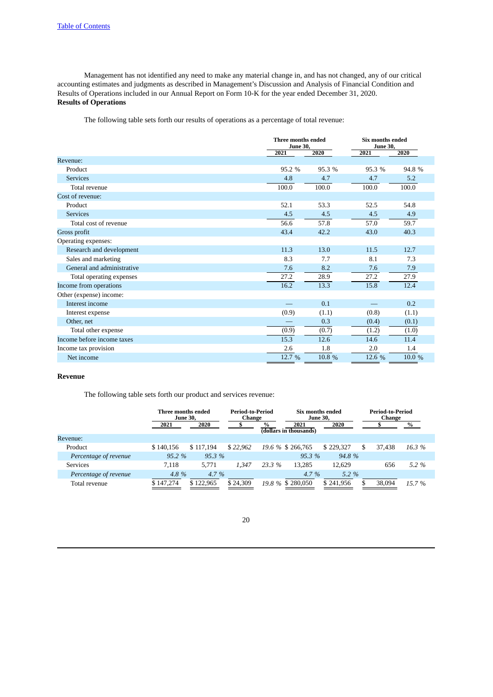<span id="page-19-0"></span>Management has not identified any need to make any material change in, and has not changed, any of our critical accounting estimates and judgments as described in Management's Discussion and Analysis of Financial Condition and Results of Operations included in our Annual Report on Form 10-K for the year ended December 31, 2020. **Results of Operations**

The following table sets forth our results of operations as a percentage of total revenue:

|                            | Three months ended<br><b>June 30,</b> |        | Six months ended<br><b>June 30,</b> |        |  |
|----------------------------|---------------------------------------|--------|-------------------------------------|--------|--|
|                            | 2021                                  | 2020   | 2021                                | 2020   |  |
| Revenue:                   |                                       |        |                                     |        |  |
| Product                    | 95.2 %                                | 95.3 % | 95.3 %                              | 94.8 % |  |
| <b>Services</b>            | 4.8                                   | 4.7    | 4.7                                 | 5.2    |  |
| Total revenue              | 100.0                                 | 100.0  | 100.0                               | 100.0  |  |
| Cost of revenue:           |                                       |        |                                     |        |  |
| Product                    | 52.1                                  | 53.3   | 52.5                                | 54.8   |  |
| <b>Services</b>            | 4.5                                   | 4.5    | 4.5                                 | 4.9    |  |
| Total cost of revenue      | 56.6                                  | 57.8   | 57.0                                | 59.7   |  |
| Gross profit               | 43.4                                  | 42.2   | 43.0                                | 40.3   |  |
| Operating expenses:        |                                       |        |                                     |        |  |
| Research and development   | 11.3                                  | 13.0   | 11.5                                | 12.7   |  |
| Sales and marketing        | 8.3                                   | 7.7    | 8.1                                 | 7.3    |  |
| General and administrative | 7.6                                   | 8.2    | 7.6                                 | 7.9    |  |
| Total operating expenses   | 27.2                                  | 28.9   | 27.2                                | 27.9   |  |
| Income from operations     | 16.2                                  | 13.3   | 15.8                                | 12.4   |  |
| Other (expense) income:    |                                       |        |                                     |        |  |
| Interest income            |                                       | 0.1    |                                     | 0.2    |  |
| Interest expense           | (0.9)                                 | (1.1)  | (0.8)                               | (1.1)  |  |
| Other, net                 |                                       | 0.3    | (0.4)                               | (0.1)  |  |
| Total other expense        | (0.9)                                 | (0.7)  | (1.2)                               | (1.0)  |  |
| Income before income taxes | 15.3                                  | 12.6   | 14.6                                | 11.4   |  |
| Income tax provision       | 2.6                                   | 1.8    | 2.0                                 | 1.4    |  |
| Net income                 | 12.7 %                                | 10.8 % | 12.6 %                              | 10.0 % |  |

# **Revenue**

The following table sets forth our product and services revenue:

|                       | Three months ended<br><b>June 30.</b> |           | Period-to-Period<br>Change |        | Six months ended<br><b>June 30,</b> |           |     | Period-to-Period<br>Change |               |
|-----------------------|---------------------------------------|-----------|----------------------------|--------|-------------------------------------|-----------|-----|----------------------------|---------------|
|                       | 2021                                  | 2020      |                            | $\%$   | 2021<br>(dollars in thousands)      | 2020      |     |                            | $\frac{9}{6}$ |
| Revenue:              |                                       |           |                            |        |                                     |           |     |                            |               |
| Product               | \$140,156                             | \$117.194 | \$22,962                   |        | 19.6 % \$ 266,765                   | \$229,327 | \$. | 37.438                     | 16.3%         |
| Percentage of revenue | 95.2%                                 | 95.3%     |                            |        | 95.3%                               | 94.8%     |     |                            |               |
| <b>Services</b>       | 7.118                                 | 5.771     | 1.347                      | 23.3 % | 13.285                              | 12.629    |     | 656                        | 5.2 %         |
| Percentage of revenue | 4.8%                                  | 4.7 $%$   |                            |        | $4.7\%$                             | $5.2\%$   |     |                            |               |
| Total revenue         | \$147.274                             | \$122,965 | \$24,309                   |        | 19.8 % \$ 280,050                   | \$241,956 |     | 38,094                     | $15.7\%$      |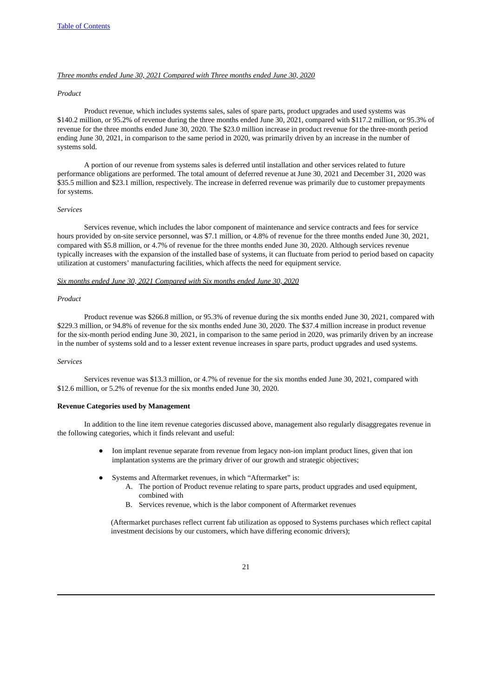# *Three months ended June 30, 2021 Compared with Three months ended June 30, 2020*

#### *Product*

Product revenue, which includes systems sales, sales of spare parts, product upgrades and used systems was \$140.2 million, or 95.2% of revenue during the three months ended June 30, 2021, compared with \$117.2 million, or 95.3% of revenue for the three months ended June 30, 2020. The \$23.0 million increase in product revenue for the three-month period ending June 30, 2021, in comparison to the same period in 2020, was primarily driven by an increase in the number of systems sold.

A portion of our revenue from systems sales is deferred until installation and other services related to future performance obligations are performed. The total amount of deferred revenue at June 30, 2021 and December 31, 2020 was \$35.5 million and \$23.1 million, respectively. The increase in deferred revenue was primarily due to customer prepayments for systems.

#### *Services*

Services revenue, which includes the labor component of maintenance and service contracts and fees for service hours provided by on-site service personnel, was \$7.1 million, or 4.8% of revenue for the three months ended June 30, 2021, compared with \$5.8 million, or 4.7% of revenue for the three months ended June 30, 2020. Although services revenue typically increases with the expansion of the installed base of systems, it can fluctuate from period to period based on capacity utilization at customers' manufacturing facilities, which affects the need for equipment service.

#### *Six months ended June 30, 2021 Compared with Six months ended June 30, 2020*

#### *Product*

Product revenue was \$266.8 million, or 95.3% of revenue during the six months ended June 30, 2021, compared with \$229.3 million, or 94.8% of revenue for the six months ended June 30, 2020. The \$37.4 million increase in product revenue for the six-month period ending June 30, 2021, in comparison to the same period in 2020, was primarily driven by an increase in the number of systems sold and to a lesser extent revenue increases in spare parts, product upgrades and used systems.

#### *Services*

Services revenue was \$13.3 million, or 4.7% of revenue for the six months ended June 30, 2021, compared with \$12.6 million, or 5.2% of revenue for the six months ended June 30, 2020.

#### **Revenue Categories used by Management**

In addition to the line item revenue categories discussed above, management also regularly disaggregates revenue in the following categories, which it finds relevant and useful:

- Ion implant revenue separate from revenue from legacy non-ion implant product lines, given that ion implantation systems are the primary driver of our growth and strategic objectives;
- Systems and Aftermarket revenues, in which "Aftermarket" is:
	- A. The portion of Product revenue relating to spare parts, product upgrades and used equipment, combined with
	- B. Services revenue, which is the labor component of Aftermarket revenues

(Aftermarket purchases reflect current fab utilization as opposed to Systems purchases which reflect capital investment decisions by our customers, which have differing economic drivers);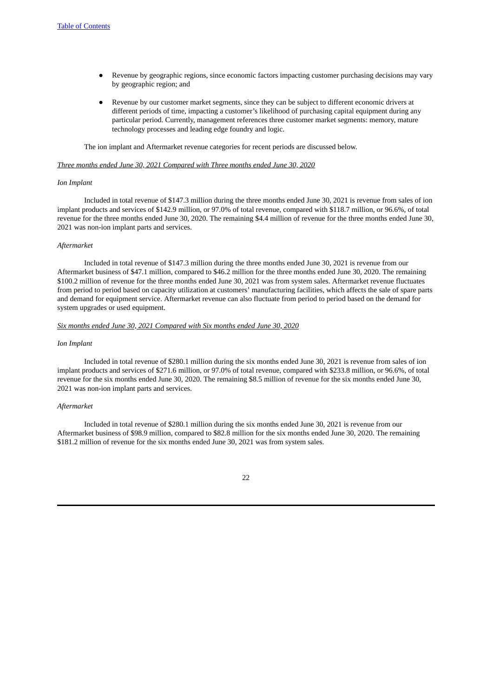- Revenue by geographic regions, since economic factors impacting customer purchasing decisions may vary by geographic region; and
- Revenue by our customer market segments, since they can be subject to different economic drivers at different periods of time, impacting a customer's likelihood of purchasing capital equipment during any particular period. Currently, management references three customer market segments: memory, mature technology processes and leading edge foundry and logic.

The ion implant and Aftermarket revenue categories for recent periods are discussed below.

#### *Three months ended June 30, 2021 Compared with Three months ended June 30, 2020*

#### *Ion Implant*

Included in total revenue of \$147.3 million during the three months ended June 30, 2021 is revenue from sales of ion implant products and services of \$142.9 million, or 97.0% of total revenue, compared with \$118.7 million, or 96.6%, of total revenue for the three months ended June 30, 2020. The remaining \$4.4 million of revenue for the three months ended June 30, 2021 was non-ion implant parts and services.

#### *Aftermarket*

Included in total revenue of \$147.3 million during the three months ended June 30, 2021 is revenue from our Aftermarket business of \$47.1 million, compared to \$46.2 million for the three months ended June 30, 2020. The remaining \$100.2 million of revenue for the three months ended June 30, 2021 was from system sales. Aftermarket revenue fluctuates from period to period based on capacity utilization at customers' manufacturing facilities, which affects the sale of spare parts and demand for equipment service. Aftermarket revenue can also fluctuate from period to period based on the demand for system upgrades or used equipment.

#### *Six months ended June 30, 2021 Compared with Six months ended June 30, 2020*

#### *Ion Implant*

Included in total revenue of \$280.1 million during the six months ended June 30, 2021 is revenue from sales of ion implant products and services of \$271.6 million, or 97.0% of total revenue, compared with \$233.8 million, or 96.6%, of total revenue for the six months ended June 30, 2020. The remaining \$8.5 million of revenue for the six months ended June 30, 2021 was non-ion implant parts and services.

#### *Aftermarket*

Included in total revenue of \$280.1 million during the six months ended June 30, 2021 is revenue from our Aftermarket business of \$98.9 million, compared to \$82.8 million for the six months ended June 30, 2020. The remaining \$181.2 million of revenue for the six months ended June 30, 2021 was from system sales.

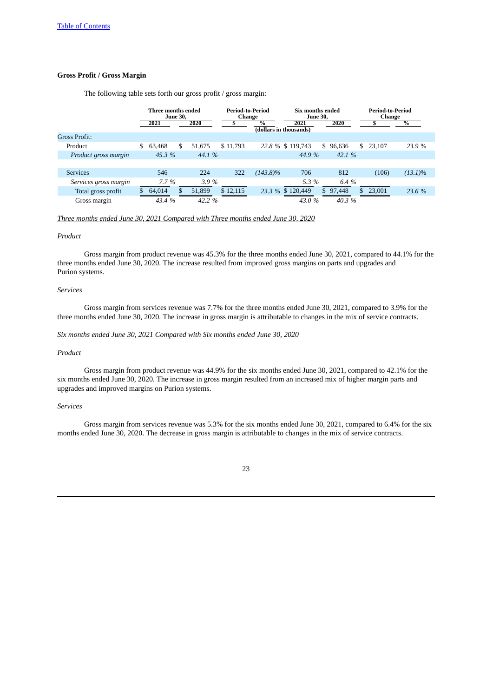# **Gross Profit / Gross Margin**

The following table sets forth our gross profit / gross margin:

|                       | Three months ended<br><b>June 30.</b> |        | Period-to-Period<br>Change |               | Six months ended<br><b>June 30.</b> |              | Period-to-Period<br>Change |               |
|-----------------------|---------------------------------------|--------|----------------------------|---------------|-------------------------------------|--------------|----------------------------|---------------|
|                       | 2021                                  | 2020   |                            | $\frac{9}{6}$ | 2021<br>(dollars in thousands)      | 2020         |                            | $\frac{0}{0}$ |
| Gross Profit:         |                                       |        |                            |               |                                     |              |                            |               |
| Product               | \$<br>\$<br>63,468                    | 51.675 | \$11,793                   |               | 22.8 % \$ 119,743                   | \$<br>96,636 | \$<br>23.107               | 23.9%         |
| Product gross margin  | 45.3 %                                | 44.1 % |                            |               | 44.9 %                              | 42.1%        |                            |               |
|                       |                                       |        |                            |               |                                     |              |                            |               |
| <b>Services</b>       | 546                                   | 224    | 322                        | $(143.8)\%$   | 706                                 | 812          | (106)                      | $(13.1)\%$    |
| Services gross margin | $7.7\%$                               | 3.9%   |                            |               | 5.3 %                               | 6.4 %        |                            |               |
| Total gross profit    | 64,014<br>\$.                         | 51,899 | \$12,115                   |               | 23.3 % \$120,449                    | 97,448<br>\$ | 23,001<br>\$               | 23.6 %        |
| Gross margin          | 43.4 %                                | 42.2 % |                            |               | 43.0 %                              | 40.3 %       |                            |               |

# *Three months ended June 30, 2021 Compared with Three months ended June 30, 2020*

#### *Product*

Gross margin from product revenue was 45.3% for the three months ended June 30, 2021, compared to 44.1% for the three months ended June 30, 2020. The increase resulted from improved gross margins on parts and upgrades and Purion systems.

#### *Services*

Gross margin from services revenue was 7.7% for the three months ended June 30, 2021, compared to 3.9% for the three months ended June 30, 2020. The increase in gross margin is attributable to changes in the mix of service contracts.

#### *Six months ended June 30, 2021 Compared with Six months ended June 30, 2020*

### *Product*

Gross margin from product revenue was 44.9% for the six months ended June 30, 2021, compared to 42.1% for the six months ended June 30, 2020. The increase in gross margin resulted from an increased mix of higher margin parts and upgrades and improved margins on Purion systems.

#### *Services*

Gross margin from services revenue was 5.3% for the six months ended June 30, 2021, compared to 6.4% for the six months ended June 30, 2020. The decrease in gross margin is attributable to changes in the mix of service contracts.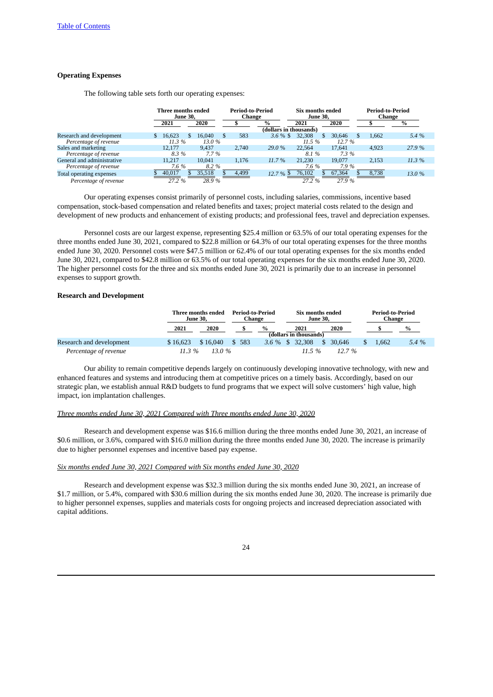### **Operating Expenses**

The following table sets forth our operating expenses:

|                            | Three months ended<br><b>June 30.</b> |        | Period-to-Period<br>Change |                        | Six months ended<br><b>June 30,</b> |        | Period-to-Period<br>Change |               |  |
|----------------------------|---------------------------------------|--------|----------------------------|------------------------|-------------------------------------|--------|----------------------------|---------------|--|
|                            | 2021                                  | 2020   |                            | $\%$                   | 2021                                | 2020   |                            | $\frac{9}{6}$ |  |
|                            |                                       |        |                            | (dollars in thousands) |                                     |        |                            |               |  |
| Research and development   | 16.623                                | 16.040 | 583                        | $3.6\%$ \$             | 32,308                              | 30.646 | 1.662                      | 5.4 %         |  |
| Percentage of revenue      | 11.3%                                 | 13.0 % |                            |                        | 11.5 %                              | 12.7 % |                            |               |  |
| Sales and marketing        | 12.177                                | 9.437  | 2.740                      | 29.0 %                 | 22,564                              | 17.641 | 4.923                      | 27.9 %        |  |
| Percentage of revenue      | 8.3%                                  | 7.7 %  |                            |                        | 8.1 %                               | 7.3%   |                            |               |  |
| General and administrative | 11.217                                | 10.041 | 1.176                      | 11.7%                  | 21.230                              | 19.077 | 2.153                      | 11.3 %        |  |
| Percentage of revenue      | 7.6 %                                 | 8.2%   |                            |                        | 7.6 %                               | 7.9 %  |                            |               |  |
| Total operating expenses   | 40.017                                | 35,518 | 4,499                      | 12.7 % \$              | 76,102                              | 67,364 | 8,738                      | 13.0 %        |  |
| Percentage of revenue      | 27.2 %                                | 28.9%  |                            |                        | 27.2 %                              | 27.9%  |                            |               |  |

Our operating expenses consist primarily of personnel costs, including salaries, commissions, incentive based compensation, stock-based compensation and related benefits and taxes; project material costs related to the design and development of new products and enhancement of existing products; and professional fees, travel and depreciation expenses.

Personnel costs are our largest expense, representing \$25.4 million or 63.5% of our total operating expenses for the three months ended June 30, 2021, compared to \$22.8 million or 64.3% of our total operating expenses for the three months ended June 30, 2020. Personnel costs were \$47.5 million or 62.4% of our total operating expenses for the six months ended June 30, 2021, compared to \$42.8 million or 63.5% of our total operating expenses for the six months ended June 30, 2020. The higher personnel costs for the three and six months ended June 30, 2021 is primarily due to an increase in personnel expenses to support growth.

### **Research and Development**

|                          |          | Three months ended<br><b>June 30.</b> |       | Period-to-Period<br>Change |                                | Six months ended<br><b>June 30.</b> |  | <b>Period-to-Period</b><br>Change |               |
|--------------------------|----------|---------------------------------------|-------|----------------------------|--------------------------------|-------------------------------------|--|-----------------------------------|---------------|
|                          | 2021     | 2020                                  |       | $\frac{0}{0}$              | 2021<br>(dollars in thousands) | 2020                                |  |                                   | $\frac{9}{6}$ |
|                          |          |                                       |       |                            |                                |                                     |  |                                   |               |
| Research and development | \$16,623 | \$16,040                              | \$583 |                            | 3.6 % \$ 32.308                | 30.646<br>-SS                       |  | 1.662                             | 5.4%          |
| Percentage of revenue    | $11.3\%$ | 13.0 %                                |       |                            | 11.5 $%$                       | 12.7%                               |  |                                   |               |

Our ability to remain competitive depends largely on continuously developing innovative technology, with new and enhanced features and systems and introducing them at competitive prices on a timely basis. Accordingly, based on our strategic plan, we establish annual R&D budgets to fund programs that we expect will solve customers' high value, high impact, ion implantation challenges.

#### *Three months ended June 30, 2021 Compared with Three months ended June 30, 2020*

Research and development expense was \$16.6 million during the three months ended June 30, 2021, an increase of \$0.6 million, or 3.6%, compared with \$16.0 million during the three months ended June 30, 2020. The increase is primarily due to higher personnel expenses and incentive based pay expense.

# *Six months ended June 30, 2021 Compared with Six months ended June 30, 2020*

Research and development expense was \$32.3 million during the six months ended June 30, 2021, an increase of \$1.7 million, or 5.4%, compared with \$30.6 million during the six months ended June 30, 2020. The increase is primarily due to higher personnel expenses, supplies and materials costs for ongoing projects and increased depreciation associated with capital additions.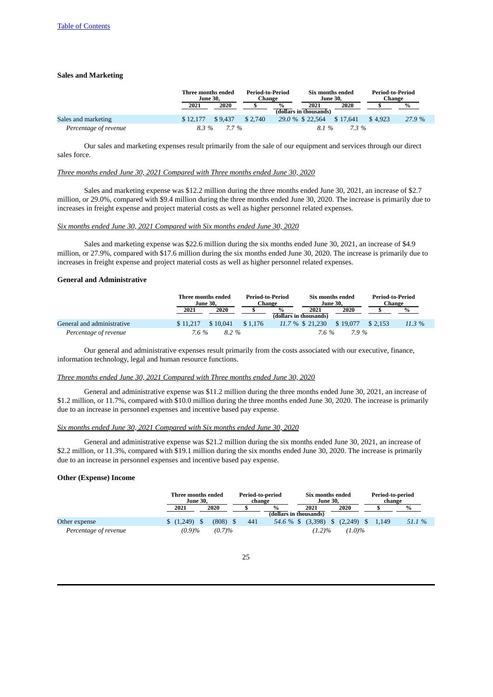# **Sales and Marketing**

|                       |          | Three months ended<br><b>June 30.</b> |         | Period-to-Period<br>Change |                                | Six months ended<br><b>June 30.</b> |         | Period-to-Period<br>Change |
|-----------------------|----------|---------------------------------------|---------|----------------------------|--------------------------------|-------------------------------------|---------|----------------------------|
|                       | 2021     | 2020                                  |         | $\frac{0}{0}$              | 2021<br>(dollars in thousands) | 2020                                |         | %                          |
| Sales and marketing   | \$12,177 | \$9.437                               | \$2.740 |                            | 29.0 % \$ 22.564               | \$17.641                            | \$4.923 | 27.9 %                     |
| Percentage of revenue | 8.3%     | 7.7%                                  |         |                            | 8.1%                           | $7.3\%$                             |         |                            |

Our sales and marketing expenses result primarily from the sale of our equipment and services through our direct sales force.

# *Three months ended June 30, 2021 Compared with Three months ended June 30, 2020*

Sales and marketing expense was \$12.2 million during the three months ended June 30, 2021, an increase of \$2.7 million, or 29.0%, compared with \$9.4 million during the three months ended June 30, 2020. The increase is primarily due to increases in freight expense and project material costs as well as higher personnel related expenses.

#### *Six months ended June 30, 2021 Compared with Six months ended June 30, 2020*

Sales and marketing expense was \$22.6 million during the six months ended June 30, 2021, an increase of \$4.9 million, or 27.9%, compared with \$17.6 million during the six months ended June 30, 2020. The increase is primarily due to increases in freight expense and project material costs as well as higher personnel related expenses.

## **General and Administrative**

|                            |          | Three months ended<br><b>June 30.</b> |         | Period-to-Period<br>Change |                                | Six months ended<br><b>June 30.</b> | Period-to-Period<br>Change |        |
|----------------------------|----------|---------------------------------------|---------|----------------------------|--------------------------------|-------------------------------------|----------------------------|--------|
|                            | 2021     | 2020                                  |         | $\frac{0}{0}$              | 2021<br>(dollars in thousands) | 2020                                |                            | $\%$   |
| General and administrative | \$11,217 | \$10.041                              | \$1.176 |                            | 11.7 % \$ 21.230               | \$19.077                            | \$2.153                    | 11.3 % |
| Percentage of revenue      | 7.6%     | 8.2 %                                 |         |                            | 7.6 %                          | 7.9%                                |                            |        |

Our general and administrative expenses result primarily from the costs associated with our executive, finance, information technology, legal and human resource functions.

#### *Three months ended June 30, 2021 Compared with Three months ended June 30, 2020*

General and administrative expense was \$11.2 million during the three months ended June 30, 2021, an increase of \$1.2 million, or 11.7%, compared with \$10.0 million during the three months ended June 30, 2020. The increase is primarily due to an increase in personnel expenses and incentive based pay expense.

### *Six months ended June 30, 2021 Compared with Six months ended June 30, 2020*

General and administrative expense was \$21.2 million during the six months ended June 30, 2021, an increase of \$2.2 million, or 11.3%, compared with \$19.1 million during the six months ended June 30, 2020. The increase is primarily due to an increase in personnel expenses and incentive based pay expense.

# **Other (Expense) Income**

|                       | Three months ended<br><b>June 30.</b> |  | Period-to-period<br>change |     |                        | Six months ended<br><b>June 30.</b> |                   |  |                                           | Period-to-period<br>change |  |        |
|-----------------------|---------------------------------------|--|----------------------------|-----|------------------------|-------------------------------------|-------------------|--|-------------------------------------------|----------------------------|--|--------|
|                       | 2021                                  |  | 2020                       |     | $\frac{0}{0}$          |                                     | 2021              |  | 2020                                      |                            |  | %      |
|                       |                                       |  |                            |     | (dollars in thousands) |                                     |                   |  |                                           |                            |  |        |
| Other expense         | (1,249)                               |  | (808)                      | 441 |                        |                                     | 54.6 % \$ (3,398) |  | $\frac{1}{2}$ (2,249) $\frac{1}{2}$ 1,149 |                            |  | 51.1 % |
| Percentage of revenue | (0.9)%                                |  | (0.7)%                     |     |                        |                                     | $(1.2)\%$         |  | $(1.0)\%$                                 |                            |  |        |

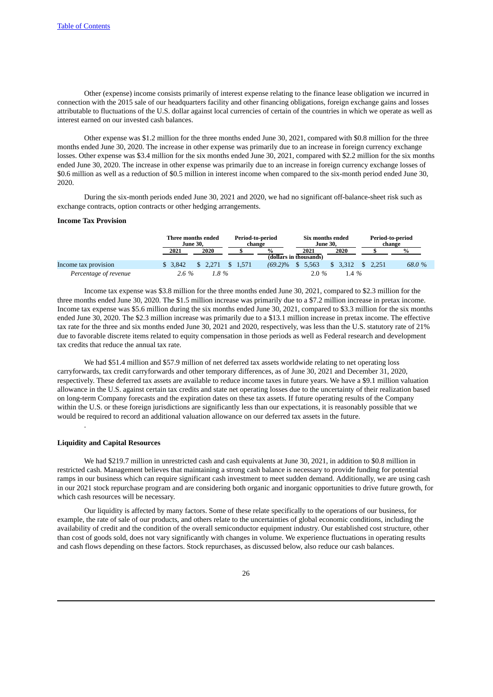Other (expense) income consists primarily of interest expense relating to the finance lease obligation we incurred in connection with the 2015 sale of our headquarters facility and other financing obligations, foreign exchange gains and losses attributable to fluctuations of the U.S. dollar against local currencies of certain of the countries in which we operate as well as interest earned on our invested cash balances.

Other expense was \$1.2 million for the three months ended June 30, 2021, compared with \$0.8 million for the three months ended June 30, 2020. The increase in other expense was primarily due to an increase in foreign currency exchange losses. Other expense was \$3.4 million for the six months ended June 30, 2021, compared with \$2.2 million for the six months ended June 30, 2020. The increase in other expense was primarily due to an increase in foreign currency exchange losses of \$0.6 million as well as a reduction of \$0.5 million in interest income when compared to the six-month period ended June 30, 2020.

During the six-month periods ended June 30, 2021 and 2020, we had no significant off-balance-sheet risk such as exchange contracts, option contracts or other hedging arrangements.

### **Income Tax Provision**

|                       |         | Three months ended<br>June 30. |          | Period-to-period<br>change |                        | Six months ended<br><b>June 30.</b> |                     | Period-to-period<br>change |
|-----------------------|---------|--------------------------------|----------|----------------------------|------------------------|-------------------------------------|---------------------|----------------------------|
|                       | 2021    | 2020                           |          | $\frac{0}{0}$              | 2021                   | 2020                                |                     | $\frac{0}{0}$              |
|                       |         |                                |          |                            | (dollars in thousands) |                                     |                     |                            |
| Income tax provision  | \$3.842 | \$2.271                        | \$ 1.571 | $(69.2)\%$ \$              | 5,563                  | \$3.312                             | $\frac{1}{2}$ 2.251 | 68.0 %                     |
| Percentage of revenue | $2.6\%$ | $1.8 \%$                       |          |                            | $2.0\%$                | $1.4\%$                             |                     |                            |

Income tax expense was \$3.8 million for the three months ended June 30, 2021, compared to \$2.3 million for the three months ended June 30, 2020. The \$1.5 million increase was primarily due to a \$7.2 million increase in pretax income. Income tax expense was \$5.6 million during the six months ended June 30, 2021, compared to \$3.3 million for the six months ended June 30, 2020. The \$2.3 million increase was primarily due to a \$13.1 million increase in pretax income. The effective tax rate for the three and six months ended June 30, 2021 and 2020, respectively, was less than the U.S. statutory rate of 21% due to favorable discrete items related to equity compensation in those periods as well as Federal research and development tax credits that reduce the annual tax rate.

We had \$51.4 million and \$57.9 million of net deferred tax assets worldwide relating to net operating loss carryforwards, tax credit carryforwards and other temporary differences, as of June 30, 2021 and December 31, 2020, respectively. These deferred tax assets are available to reduce income taxes in future years. We have a \$9.1 million valuation allowance in the U.S. against certain tax credits and state net operating losses due to the uncertainty of their realization based on long-term Company forecasts and the expiration dates on these tax assets. If future operating results of the Company within the U.S. or these foreign jurisdictions are significantly less than our expectations, it is reasonably possible that we would be required to record an additional valuation allowance on our deferred tax assets in the future. .

### <span id="page-25-0"></span>**Liquidity and Capital Resources**

We had \$219.7 million in unrestricted cash and cash equivalents at June 30, 2021, in addition to \$0.8 million in restricted cash. Management believes that maintaining a strong cash balance is necessary to provide funding for potential ramps in our business which can require significant cash investment to meet sudden demand. Additionally, we are using cash in our 2021 stock repurchase program and are considering both organic and inorganic opportunities to drive future growth, for which cash resources will be necessary.

Our liquidity is affected by many factors. Some of these relate specifically to the operations of our business, for example, the rate of sale of our products, and others relate to the uncertainties of global economic conditions, including the availability of credit and the condition of the overall semiconductor equipment industry. Our established cost structure, other than cost of goods sold, does not vary significantly with changes in volume. We experience fluctuations in operating results and cash flows depending on these factors. Stock repurchases, as discussed below, also reduce our cash balances.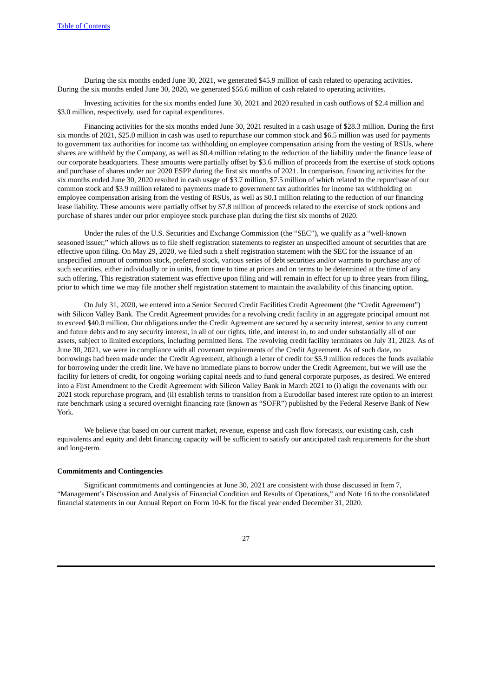During the six months ended June 30, 2021, we generated \$45.9 million of cash related to operating activities. During the six months ended June 30, 2020, we generated \$56.6 million of cash related to operating activities.

Investing activities for the six months ended June 30, 2021 and 2020 resulted in cash outflows of \$2.4 million and \$3.0 million, respectively, used for capital expenditures.

Financing activities for the six months ended June 30, 2021 resulted in a cash usage of \$28.3 million. During the first six months of 2021, \$25.0 million in cash was used to repurchase our common stock and \$6.5 million was used for payments to government tax authorities for income tax withholding on employee compensation arising from the vesting of RSUs, where shares are withheld by the Company, as well as \$0.4 million relating to the reduction of the liability under the finance lease of our corporate headquarters. These amounts were partially offset by \$3.6 million of proceeds from the exercise of stock options and purchase of shares under our 2020 ESPP during the first six months of 2021. In comparison, financing activities for the six months ended June 30, 2020 resulted in cash usage of \$3.7 million, \$7.5 million of which related to the repurchase of our common stock and \$3.9 million related to payments made to government tax authorities for income tax withholding on employee compensation arising from the vesting of RSUs, as well as \$0.1 million relating to the reduction of our financing lease liability. These amounts were partially offset by \$7.8 million of proceeds related to the exercise of stock options and purchase of shares under our prior employee stock purchase plan during the first six months of 2020.

Under the rules of the U.S. Securities and Exchange Commission (the "SEC"), we qualify as a "well-known seasoned issuer," which allows us to file shelf registration statements to register an unspecified amount of securities that are effective upon filing. On May 29, 2020, we filed such a shelf registration statement with the SEC for the issuance of an unspecified amount of common stock, preferred stock, various series of debt securities and/or warrants to purchase any of such securities, either individually or in units, from time to time at prices and on terms to be determined at the time of any such offering. This registration statement was effective upon filing and will remain in effect for up to three years from filing, prior to which time we may file another shelf registration statement to maintain the availability of this financing option.

On July 31, 2020, we entered into a Senior Secured Credit Facilities Credit Agreement (the "Credit Agreement") with Silicon Valley Bank. The Credit Agreement provides for a revolving credit facility in an aggregate principal amount not to exceed \$40.0 million. Our obligations under the Credit Agreement are secured by a security interest, senior to any current and future debts and to any security interest, in all of our rights, title, and interest in, to and under substantially all of our assets, subject to limited exceptions, including permitted liens. The revolving credit facility terminates on July 31, 2023. As of June 30, 2021, we were in compliance with all covenant requirements of the Credit Agreement. As of such date, no borrowings had been made under the Credit Agreement, although a letter of credit for \$5.9 million reduces the funds available for borrowing under the credit line. We have no immediate plans to borrow under the Credit Agreement, but we will use the facility for letters of credit, for ongoing working capital needs and to fund general corporate purposes, as desired. We entered into a First Amendment to the Credit Agreement with Silicon Valley Bank in March 2021 to (i) align the covenants with our 2021 stock repurchase program, and (ii) establish terms to transition from a Eurodollar based interest rate option to an interest rate benchmark using a secured overnight financing rate (known as "SOFR") published by the Federal Reserve Bank of New York.

We believe that based on our current market, revenue, expense and cash flow forecasts, our existing cash, cash equivalents and equity and debt financing capacity will be sufficient to satisfy our anticipated cash requirements for the short and long-term.

#### **Commitments and Contingencies**

Significant commitments and contingencies at June 30, 2021 are consistent with those discussed in Item 7, "Management's Discussion and Analysis of Financial Condition and Results of Operations," and Note 16 to the consolidated financial statements in our Annual Report on Form 10-K for the fiscal year ended December 31, 2020.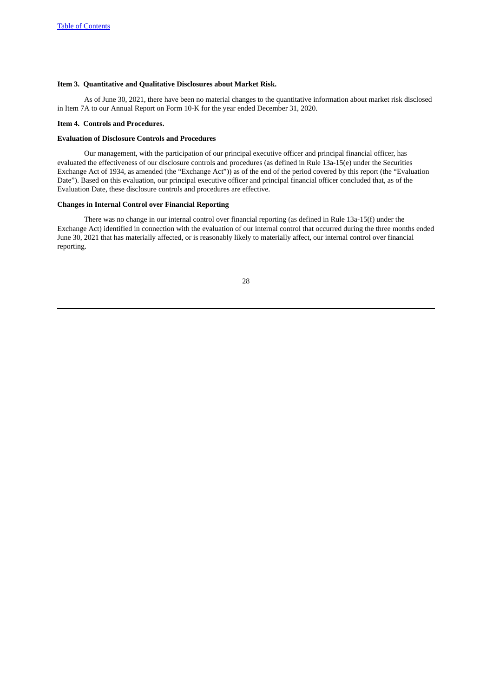# <span id="page-27-0"></span>**Item 3. Quantitative and Qualitative Disclosures about Market Risk.**

As of June 30, 2021, there have been no material changes to the quantitative information about market risk disclosed in Item 7A to our Annual Report on Form 10-K for the year ended December 31, 2020.

#### <span id="page-27-1"></span>**Item 4. Controls and Procedures.**

#### **Evaluation of Disclosure Controls and Procedures**

Our management, with the participation of our principal executive officer and principal financial officer, has evaluated the effectiveness of our disclosure controls and procedures (as defined in Rule 13a-15(e) under the Securities Exchange Act of 1934, as amended (the "Exchange Act")) as of the end of the period covered by this report (the "Evaluation Date"). Based on this evaluation, our principal executive officer and principal financial officer concluded that, as of the Evaluation Date, these disclosure controls and procedures are effective.

# **Changes in Internal Control over Financial Reporting**

There was no change in our internal control over financial reporting (as defined in Rule 13a-15(f) under the Exchange Act) identified in connection with the evaluation of our internal control that occurred during the three months ended June 30, 2021 that has materially affected, or is reasonably likely to materially affect, our internal control over financial reporting.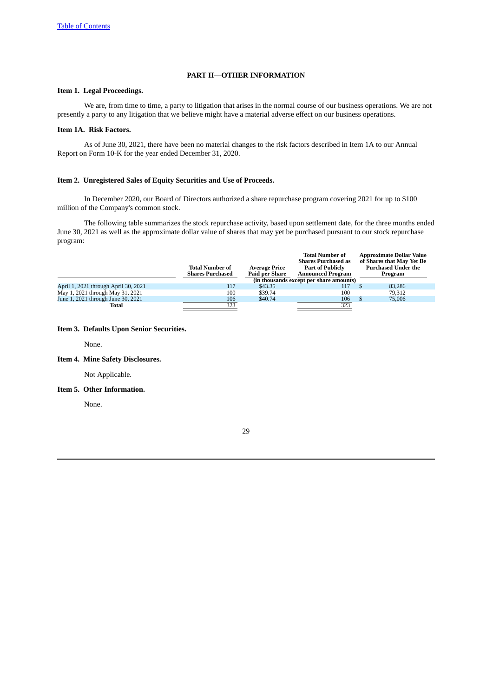# **PART II—OTHER INFORMATION**

# <span id="page-28-1"></span><span id="page-28-0"></span>**Item 1. Legal Proceedings.**

We are, from time to time, a party to litigation that arises in the normal course of our business operations. We are not presently a party to any litigation that we believe might have a material adverse effect on our business operations.

# <span id="page-28-2"></span>**Item 1A. Risk Factors.**

As of June 30, 2021, there have been no material changes to the risk factors described in Item 1A to our Annual Report on Form 10-K for the year ended December 31, 2020.

### <span id="page-28-3"></span>**Item 2. Unregistered Sales of Equity Securities and Use of Proceeds.**

In December 2020, our Board of Directors authorized a share repurchase program covering 2021 for up to \$100 million of the Company's common stock.

The following table summarizes the stock repurchase activity, based upon settlement date, for the three months ended June 30, 2021 as well as the approximate dollar value of shares that may yet be purchased pursuant to our stock repurchase program:

|                                      | <b>Total Number of</b><br><b>Shares Purchased</b> | <b>Average Price</b><br><b>Paid per Share</b> | <b>Total Number of</b><br><b>Shares Purchased as</b><br><b>Part of Publicly</b><br><b>Announced Program</b><br>(in thousands except per share amounts) | <b>Approximate Dollar Value</b><br>of Shares that May Yet Be<br><b>Purchased Under the</b><br>Program |  |
|--------------------------------------|---------------------------------------------------|-----------------------------------------------|--------------------------------------------------------------------------------------------------------------------------------------------------------|-------------------------------------------------------------------------------------------------------|--|
| April 1, 2021 through April 30, 2021 | 117                                               | \$43.35                                       | 117                                                                                                                                                    | 83.286                                                                                                |  |
| May 1, 2021 through May 31, 2021     | 100                                               | \$39.74                                       | 100                                                                                                                                                    | 79.312                                                                                                |  |
| June 1, 2021 through June 30, 2021   | 106                                               | \$40.74                                       | 106                                                                                                                                                    | 75,006                                                                                                |  |
| Total                                | 323                                               |                                               | 323                                                                                                                                                    |                                                                                                       |  |

#### <span id="page-28-4"></span>**Item 3. Defaults Upon Senior Securities.**

None.

# <span id="page-28-5"></span>**Item 4. Mine Safety Disclosures.**

Not Applicable.

# <span id="page-28-6"></span>**Item 5. Other Information.**

None.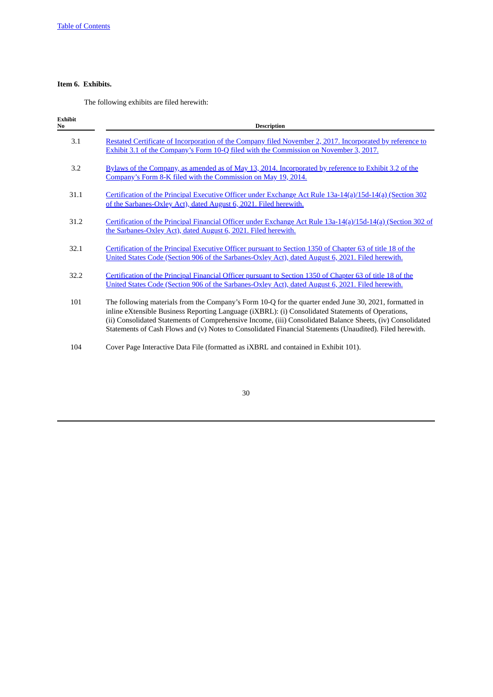# <span id="page-29-0"></span>**Item 6. Exhibits.**

The following exhibits are filed herewith:

| <b>Exhibit</b><br>N <sub>0</sub> | <b>Description</b>                                                                                                                                                                                                                                                                                                                                                                                                                    |
|----------------------------------|---------------------------------------------------------------------------------------------------------------------------------------------------------------------------------------------------------------------------------------------------------------------------------------------------------------------------------------------------------------------------------------------------------------------------------------|
| 3.1                              | Restated Certificate of Incorporation of the Company filed November 2, 2017. Incorporated by reference to<br>Exhibit 3.1 of the Company's Form 10-Q filed with the Commission on November 3, 2017.                                                                                                                                                                                                                                    |
| 3.2                              | Bylaws of the Company, as amended as of May 13, 2014. Incorporated by reference to Exhibit 3.2 of the<br>Company's Form 8-K filed with the Commission on May 19, 2014.                                                                                                                                                                                                                                                                |
| 31.1                             | Certification of the Principal Executive Officer under Exchange Act Rule 13a-14(a)/15d-14(a) (Section 302<br>of the Sarbanes-Oxley Act), dated August 6, 2021. Filed herewith.                                                                                                                                                                                                                                                        |
| 31.2                             | Certification of the Principal Financial Officer under Exchange Act Rule 13a-14(a)/15d-14(a) (Section 302 of<br>the Sarbanes-Oxley Act), dated August 6, 2021. Filed herewith.                                                                                                                                                                                                                                                        |
| 32.1                             | Certification of the Principal Executive Officer pursuant to Section 1350 of Chapter 63 of title 18 of the<br>United States Code (Section 906 of the Sarbanes-Oxley Act), dated August 6, 2021. Filed herewith.                                                                                                                                                                                                                       |
| 32.2                             | Certification of the Principal Financial Officer pursuant to Section 1350 of Chapter 63 of title 18 of the<br>United States Code (Section 906 of the Sarbanes-Oxley Act), dated August 6, 2021. Filed herewith.                                                                                                                                                                                                                       |
| 101                              | The following materials from the Company's Form 10-Q for the quarter ended June 30, 2021, formatted in<br>inline eXtensible Business Reporting Language (iXBRL): (i) Consolidated Statements of Operations,<br>(ii) Consolidated Statements of Comprehensive Income, (iii) Consolidated Balance Sheets, (iv) Consolidated<br>Statements of Cash Flows and (v) Notes to Consolidated Financial Statements (Unaudited). Filed herewith. |
| 104                              | Cover Page Interactive Data File (formatted as iXBRL and contained in Exhibit 101).                                                                                                                                                                                                                                                                                                                                                   |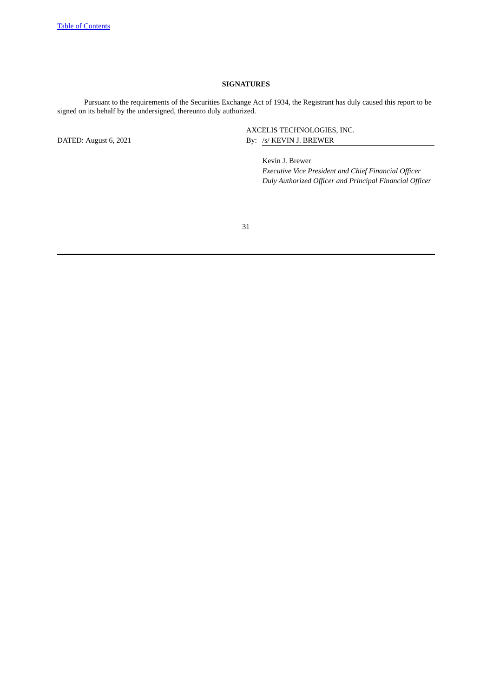# **SIGNATURES**

Pursuant to the requirements of the Securities Exchange Act of 1934, the Registrant has duly caused this report to be signed on its behalf by the undersigned, thereunto duly authorized.

AXCELIS TECHNOLOGIES, INC. DATED: August 6, 2021 By: /s/ KEVIN J. BREWER

> Kevin J. Brewer *Executive Vice President and Chief Financial Officer Duly Authorized Officer and Principal Financial Officer*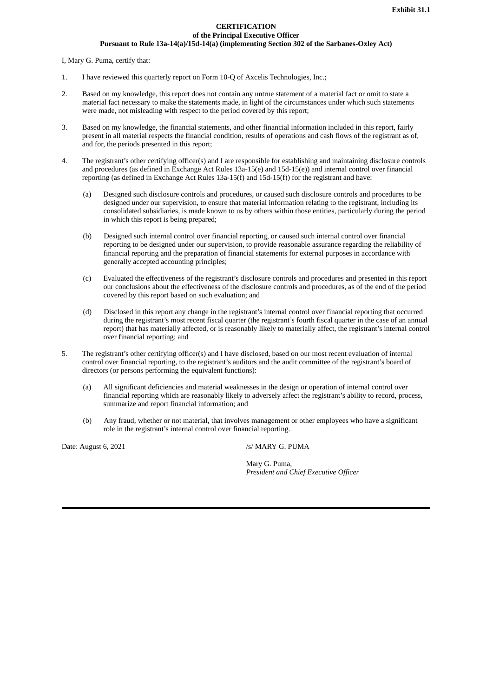### **CERTIFICATION of the Principal Executive Officer Pursuant to Rule 13a-14(a)/15d-14(a) (implementing Section 302 of the Sarbanes-Oxley Act)**

<span id="page-31-0"></span>I, Mary G. Puma, certify that:

- 1. I have reviewed this quarterly report on Form 10-Q of Axcelis Technologies, Inc.;
- 2. Based on my knowledge, this report does not contain any untrue statement of a material fact or omit to state a material fact necessary to make the statements made, in light of the circumstances under which such statements were made, not misleading with respect to the period covered by this report;
- 3. Based on my knowledge, the financial statements, and other financial information included in this report, fairly present in all material respects the financial condition, results of operations and cash flows of the registrant as of, and for, the periods presented in this report;
- 4. The registrant's other certifying officer(s) and I are responsible for establishing and maintaining disclosure controls and procedures (as defined in Exchange Act Rules 13a-15(e) and 15d-15(e)) and internal control over financial reporting (as defined in Exchange Act Rules 13a-15(f) and 15d-15(f)) for the registrant and have:
	- (a) Designed such disclosure controls and procedures, or caused such disclosure controls and procedures to be designed under our supervision, to ensure that material information relating to the registrant, including its consolidated subsidiaries, is made known to us by others within those entities, particularly during the period in which this report is being prepared;
	- (b) Designed such internal control over financial reporting, or caused such internal control over financial reporting to be designed under our supervision, to provide reasonable assurance regarding the reliability of financial reporting and the preparation of financial statements for external purposes in accordance with generally accepted accounting principles;
	- (c) Evaluated the effectiveness of the registrant's disclosure controls and procedures and presented in this report our conclusions about the effectiveness of the disclosure controls and procedures, as of the end of the period covered by this report based on such evaluation; and
	- (d) Disclosed in this report any change in the registrant's internal control over financial reporting that occurred during the registrant's most recent fiscal quarter (the registrant's fourth fiscal quarter in the case of an annual report) that has materially affected, or is reasonably likely to materially affect, the registrant's internal control over financial reporting; and
- 5. The registrant's other certifying officer(s) and I have disclosed, based on our most recent evaluation of internal control over financial reporting, to the registrant's auditors and the audit committee of the registrant's board of directors (or persons performing the equivalent functions):
	- (a) All significant deficiencies and material weaknesses in the design or operation of internal control over financial reporting which are reasonably likely to adversely affect the registrant's ability to record, process, summarize and report financial information; and
	- (b) Any fraud, whether or not material, that involves management or other employees who have a significant role in the registrant's internal control over financial reporting.

Date: August 6, 2021 /s/ MARY G. PUMA

Mary G. Puma, *President and Chief Executive Officer*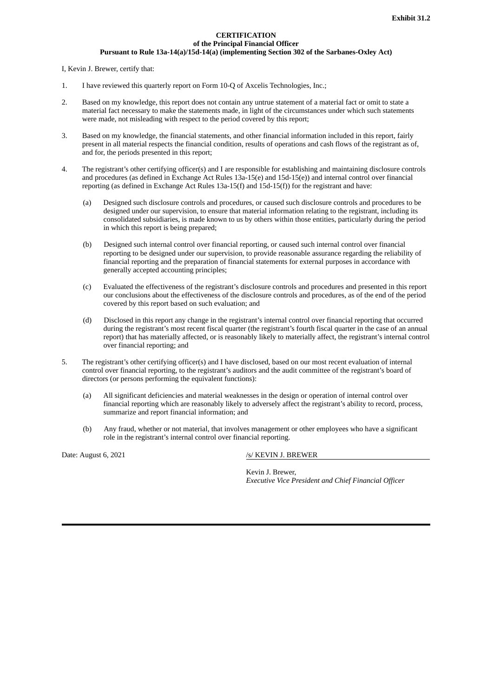#### **CERTIFICATION of the Principal Financial Officer Pursuant to Rule 13a-14(a)/15d-14(a) (implementing Section 302 of the Sarbanes-Oxley Act)**

<span id="page-32-0"></span>I, Kevin J. Brewer, certify that:

- 1. I have reviewed this quarterly report on Form 10-Q of Axcelis Technologies, Inc.;
- 2. Based on my knowledge, this report does not contain any untrue statement of a material fact or omit to state a material fact necessary to make the statements made, in light of the circumstances under which such statements were made, not misleading with respect to the period covered by this report;
- 3. Based on my knowledge, the financial statements, and other financial information included in this report, fairly present in all material respects the financial condition, results of operations and cash flows of the registrant as of, and for, the periods presented in this report;
- 4. The registrant's other certifying officer(s) and I are responsible for establishing and maintaining disclosure controls and procedures (as defined in Exchange Act Rules 13a-15(e) and 15d-15(e)) and internal control over financial reporting (as defined in Exchange Act Rules 13a-15(f) and 15d-15(f)) for the registrant and have:
	- (a) Designed such disclosure controls and procedures, or caused such disclosure controls and procedures to be designed under our supervision, to ensure that material information relating to the registrant, including its consolidated subsidiaries, is made known to us by others within those entities, particularly during the period in which this report is being prepared;
	- (b) Designed such internal control over financial reporting, or caused such internal control over financial reporting to be designed under our supervision, to provide reasonable assurance regarding the reliability of financial reporting and the preparation of financial statements for external purposes in accordance with generally accepted accounting principles;
	- (c) Evaluated the effectiveness of the registrant's disclosure controls and procedures and presented in this report our conclusions about the effectiveness of the disclosure controls and procedures, as of the end of the period covered by this report based on such evaluation; and
	- (d) Disclosed in this report any change in the registrant's internal control over financial reporting that occurred during the registrant's most recent fiscal quarter (the registrant's fourth fiscal quarter in the case of an annual report) that has materially affected, or is reasonably likely to materially affect, the registrant's internal control over financial reporting; and
- 5. The registrant's other certifying officer(s) and I have disclosed, based on our most recent evaluation of internal control over financial reporting, to the registrant's auditors and the audit committee of the registrant's board of directors (or persons performing the equivalent functions):
	- (a) All significant deficiencies and material weaknesses in the design or operation of internal control over financial reporting which are reasonably likely to adversely affect the registrant's ability to record, process, summarize and report financial information; and
	- (b) Any fraud, whether or not material, that involves management or other employees who have a significant role in the registrant's internal control over financial reporting.

Date: August 6, 2021 /s/ KEVIN J. BREWER

Kevin J. Brewer, *Executive Vice President and Chief Financial Officer*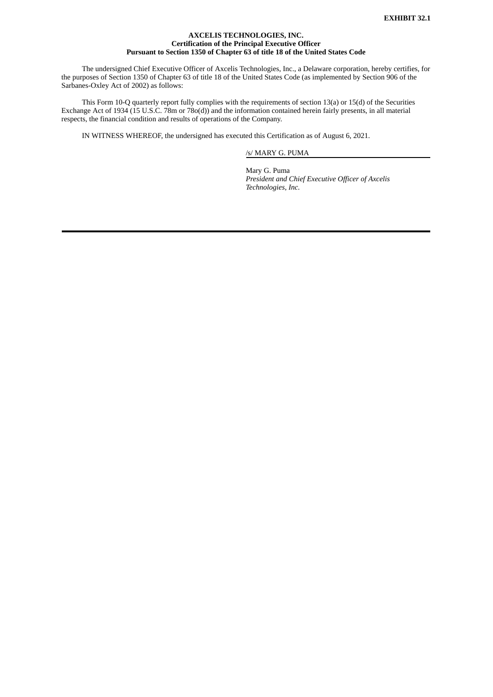### **AXCELIS TECHNOLOGIES, INC. Certification of the Principal Executive Officer Pursuant to Section 1350 of Chapter 63 of title 18 of the United States Code**

<span id="page-33-0"></span>The undersigned Chief Executive Officer of Axcelis Technologies, Inc., a Delaware corporation, hereby certifies, for the purposes of Section 1350 of Chapter 63 of title 18 of the United States Code (as implemented by Section 906 of the Sarbanes-Oxley Act of 2002) as follows:

This Form 10-Q quarterly report fully complies with the requirements of section 13(a) or 15(d) of the Securities Exchange Act of 1934 (15 U.S.C. 78m or 78o(d)) and the information contained herein fairly presents, in all material respects, the financial condition and results of operations of the Company.

IN WITNESS WHEREOF, the undersigned has executed this Certification as of August 6, 2021.

/s/ MARY G. PUMA

Mary G. Puma *President and Chief Executive Officer of Axcelis Technologies, Inc.*